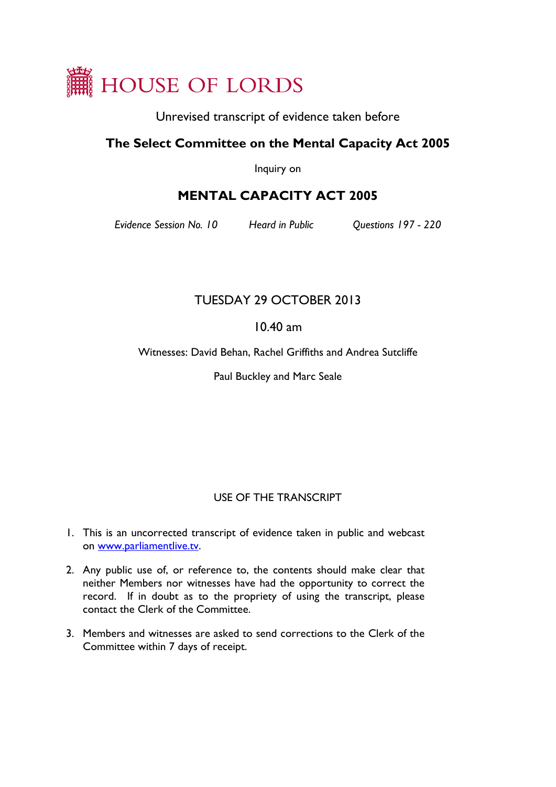

Unrevised transcript of evidence taken before

## **The Select Committee on the Mental Capacity Act 2005**

Inquiry on

# **MENTAL CAPACITY ACT 2005**

*Evidence Session No. 10 Heard in Public Questions 197 - 220*

## TUESDAY 29 OCTOBER 2013

## 10.40 am

Witnesses: David Behan, Rachel Griffiths and Andrea Sutcliffe

Paul Buckley and Marc Seale

### USE OF THE TRANSCRIPT

- 1. This is an uncorrected transcript of evidence taken in public and webcast on [www.parliamentlive.tv.](http://www.parliamentlive.tv/)
- 2. Any public use of, or reference to, the contents should make clear that neither Members nor witnesses have had the opportunity to correct the record. If in doubt as to the propriety of using the transcript, please contact the Clerk of the Committee.
- 3. Members and witnesses are asked to send corrections to the Clerk of the Committee within 7 days of receipt.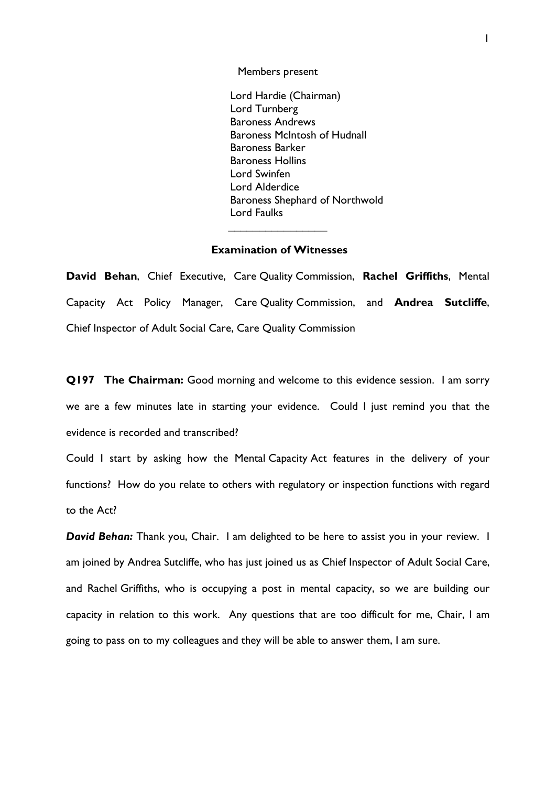Members present

Lord Hardie (Chairman) Lord Turnberg Baroness Andrews Baroness McIntosh of Hudnall Baroness Barker Baroness Hollins Lord Swinfen Lord Alderdice Baroness Shephard of Northwold Lord Faulks

#### **Examination of Witnesses**

 $\overline{\phantom{a}}$ 

**David Behan**, Chief Executive, Care Quality Commission, **Rachel Griffiths**, Mental Capacity Act Policy Manager, Care Quality Commission, and **Andrea Sutcliffe**, Chief Inspector of Adult Social Care, Care Quality Commission

**Q197 The Chairman:** Good morning and welcome to this evidence session. I am sorry we are a few minutes late in starting your evidence. Could I just remind you that the evidence is recorded and transcribed?

Could I start by asking how the Mental Capacity Act features in the delivery of your functions? How do you relate to others with regulatory or inspection functions with regard to the Act?

*David Behan:* Thank you, Chair. I am delighted to be here to assist you in your review. I am joined by Andrea Sutcliffe, who has just joined us as Chief Inspector of Adult Social Care, and Rachel Griffiths, who is occupying a post in mental capacity, so we are building our capacity in relation to this work. Any questions that are too difficult for me, Chair, I am going to pass on to my colleagues and they will be able to answer them, I am sure.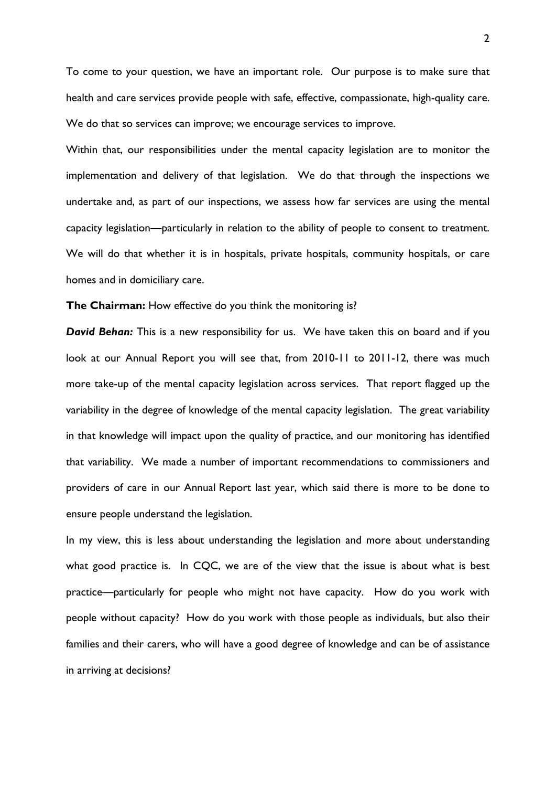To come to your question, we have an important role. Our purpose is to make sure that health and care services provide people with safe, effective, compassionate, high-quality care. We do that so services can improve; we encourage services to improve.

Within that, our responsibilities under the mental capacity legislation are to monitor the implementation and delivery of that legislation. We do that through the inspections we undertake and, as part of our inspections, we assess how far services are using the mental capacity legislation—particularly in relation to the ability of people to consent to treatment. We will do that whether it is in hospitals, private hospitals, community hospitals, or care homes and in domiciliary care.

### **The Chairman:** How effective do you think the monitoring is?

*David Behan:* This is a new responsibility for us. We have taken this on board and if you look at our Annual Report you will see that, from 2010-11 to 2011-12, there was much more take-up of the mental capacity legislation across services. That report flagged up the variability in the degree of knowledge of the mental capacity legislation. The great variability in that knowledge will impact upon the quality of practice, and our monitoring has identified that variability. We made a number of important recommendations to commissioners and providers of care in our Annual Report last year, which said there is more to be done to ensure people understand the legislation.

In my view, this is less about understanding the legislation and more about understanding what good practice is. In CQC, we are of the view that the issue is about what is best practice—particularly for people who might not have capacity. How do you work with people without capacity? How do you work with those people as individuals, but also their families and their carers, who will have a good degree of knowledge and can be of assistance in arriving at decisions?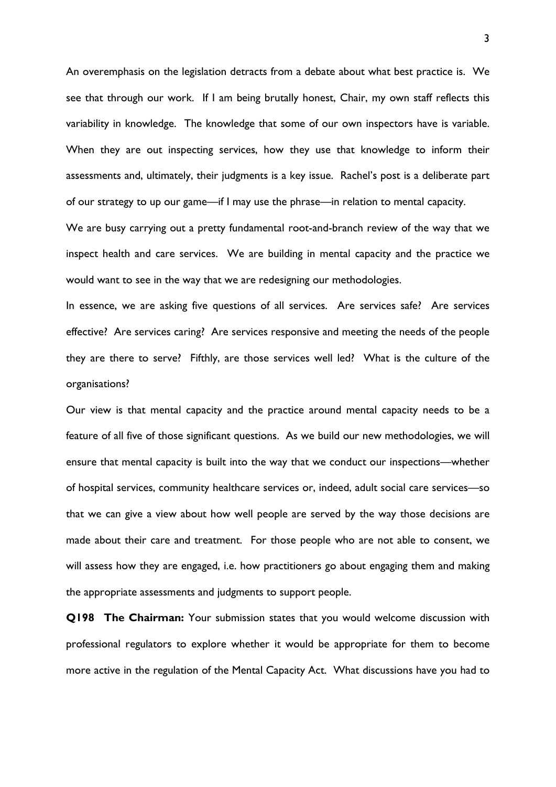An overemphasis on the legislation detracts from a debate about what best practice is. We see that through our work. If I am being brutally honest, Chair, my own staff reflects this variability in knowledge. The knowledge that some of our own inspectors have is variable. When they are out inspecting services, how they use that knowledge to inform their assessments and, ultimately, their judgments is a key issue. Rachel's post is a deliberate part of our strategy to up our game—if I may use the phrase—in relation to mental capacity.

We are busy carrying out a pretty fundamental root-and-branch review of the way that we inspect health and care services. We are building in mental capacity and the practice we would want to see in the way that we are redesigning our methodologies.

In essence, we are asking five questions of all services. Are services safe? Are services effective? Are services caring? Are services responsive and meeting the needs of the people they are there to serve? Fifthly, are those services well led? What is the culture of the organisations?

Our view is that mental capacity and the practice around mental capacity needs to be a feature of all five of those significant questions. As we build our new methodologies, we will ensure that mental capacity is built into the way that we conduct our inspections—whether of hospital services, community healthcare services or, indeed, adult social care services—so that we can give a view about how well people are served by the way those decisions are made about their care and treatment. For those people who are not able to consent, we will assess how they are engaged, i.e. how practitioners go about engaging them and making the appropriate assessments and judgments to support people.

**Q198 The Chairman:** Your submission states that you would welcome discussion with professional regulators to explore whether it would be appropriate for them to become more active in the regulation of the Mental Capacity Act. What discussions have you had to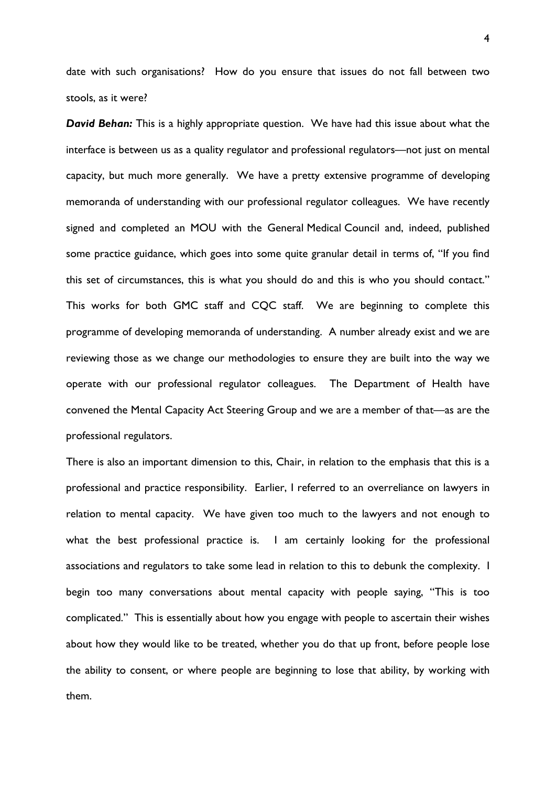date with such organisations? How do you ensure that issues do not fall between two stools, as it were?

*David Behan:* This is a highly appropriate question. We have had this issue about what the interface is between us as a quality regulator and professional regulators—not just on mental capacity, but much more generally. We have a pretty extensive programme of developing memoranda of understanding with our professional regulator colleagues. We have recently signed and completed an MOU with the General Medical Council and, indeed, published some practice guidance, which goes into some quite granular detail in terms of, "If you find this set of circumstances, this is what you should do and this is who you should contact." This works for both GMC staff and CQC staff. We are beginning to complete this programme of developing memoranda of understanding. A number already exist and we are reviewing those as we change our methodologies to ensure they are built into the way we operate with our professional regulator colleagues. The Department of Health have convened the Mental Capacity Act Steering Group and we are a member of that—as are the professional regulators.

There is also an important dimension to this, Chair, in relation to the emphasis that this is a professional and practice responsibility. Earlier, I referred to an overreliance on lawyers in relation to mental capacity. We have given too much to the lawyers and not enough to what the best professional practice is. I am certainly looking for the professional associations and regulators to take some lead in relation to this to debunk the complexity. I begin too many conversations about mental capacity with people saying, "This is too complicated." This is essentially about how you engage with people to ascertain their wishes about how they would like to be treated, whether you do that up front, before people lose the ability to consent, or where people are beginning to lose that ability, by working with them.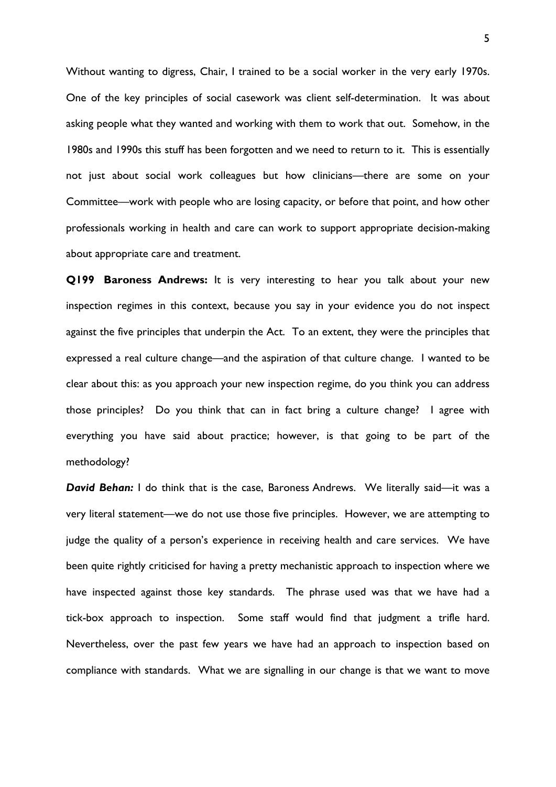Without wanting to digress, Chair, I trained to be a social worker in the very early 1970s. One of the key principles of social casework was client self-determination. It was about asking people what they wanted and working with them to work that out. Somehow, in the 1980s and 1990s this stuff has been forgotten and we need to return to it. This is essentially not just about social work colleagues but how clinicians—there are some on your Committee—work with people who are losing capacity, or before that point, and how other professionals working in health and care can work to support appropriate decision-making about appropriate care and treatment.

**Q199 Baroness Andrews:** It is very interesting to hear you talk about your new inspection regimes in this context, because you say in your evidence you do not inspect against the five principles that underpin the Act. To an extent, they were the principles that expressed a real culture change—and the aspiration of that culture change. I wanted to be clear about this: as you approach your new inspection regime, do you think you can address those principles? Do you think that can in fact bring a culture change? I agree with everything you have said about practice; however, is that going to be part of the methodology?

**David Behan:** I do think that is the case, Baroness Andrews. We literally said—it was a very literal statement—we do not use those five principles. However, we are attempting to judge the quality of a person's experience in receiving health and care services. We have been quite rightly criticised for having a pretty mechanistic approach to inspection where we have inspected against those key standards. The phrase used was that we have had a tick-box approach to inspection. Some staff would find that judgment a trifle hard. Nevertheless, over the past few years we have had an approach to inspection based on compliance with standards. What we are signalling in our change is that we want to move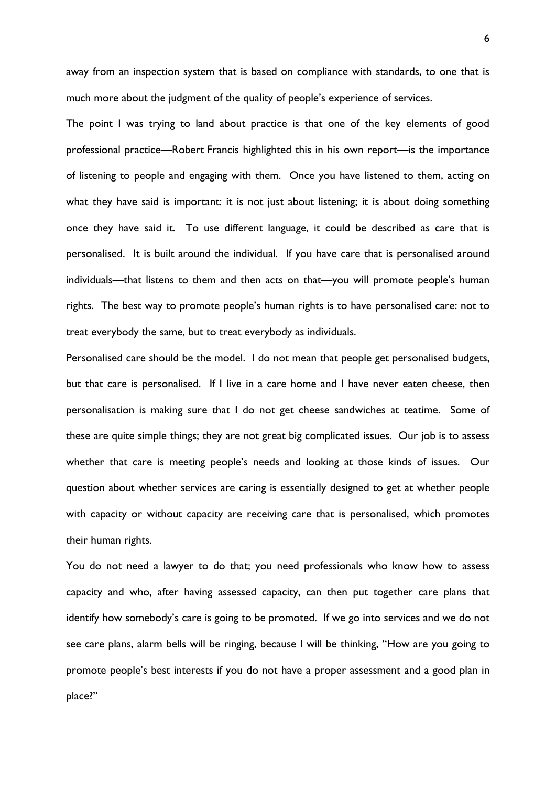away from an inspection system that is based on compliance with standards, to one that is much more about the judgment of the quality of people's experience of services.

The point I was trying to land about practice is that one of the key elements of good professional practice—Robert Francis highlighted this in his own report—is the importance of listening to people and engaging with them. Once you have listened to them, acting on what they have said is important; it is not just about listening; it is about doing something once they have said it. To use different language, it could be described as care that is personalised. It is built around the individual. If you have care that is personalised around individuals—that listens to them and then acts on that—you will promote people's human rights. The best way to promote people's human rights is to have personalised care: not to treat everybody the same, but to treat everybody as individuals.

Personalised care should be the model. I do not mean that people get personalised budgets, but that care is personalised. If I live in a care home and I have never eaten cheese, then personalisation is making sure that I do not get cheese sandwiches at teatime. Some of these are quite simple things; they are not great big complicated issues. Our job is to assess whether that care is meeting people's needs and looking at those kinds of issues. Our question about whether services are caring is essentially designed to get at whether people with capacity or without capacity are receiving care that is personalised, which promotes their human rights.

You do not need a lawyer to do that; you need professionals who know how to assess capacity and who, after having assessed capacity, can then put together care plans that identify how somebody's care is going to be promoted. If we go into services and we do not see care plans, alarm bells will be ringing, because I will be thinking, "How are you going to promote people's best interests if you do not have a proper assessment and a good plan in place?"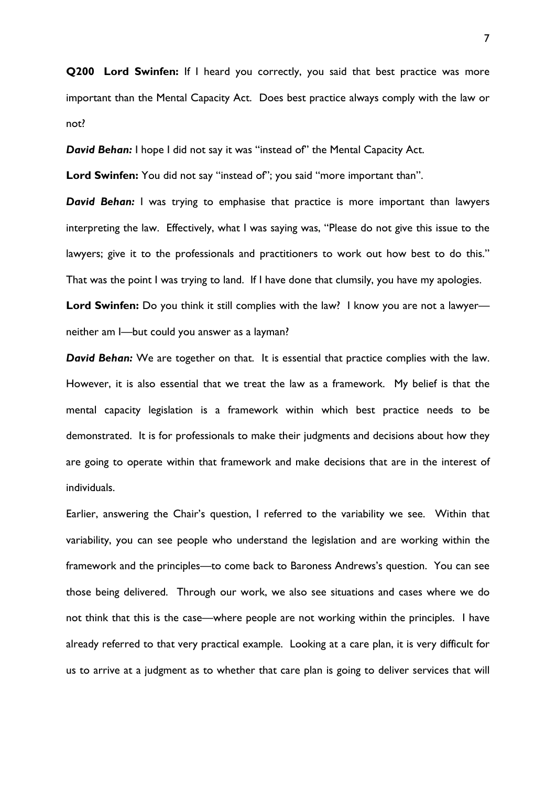**Q200 Lord Swinfen:** If I heard you correctly, you said that best practice was more important than the Mental Capacity Act. Does best practice always comply with the law or not?

**David Behan:** I hope I did not say it was "instead of" the Mental Capacity Act.

Lord Swinfen: You did not say "instead of"; you said "more important than".

*David Behan:* I was trying to emphasise that practice is more important than lawyers interpreting the law. Effectively, what I was saying was, "Please do not give this issue to the lawyers; give it to the professionals and practitioners to work out how best to do this." That was the point I was trying to land. If I have done that clumsily, you have my apologies.

**Lord Swinfen:** Do you think it still complies with the law? I know you are not a lawyer neither am I—but could you answer as a layman?

*David Behan:* We are together on that. It is essential that practice complies with the law. However, it is also essential that we treat the law as a framework. My belief is that the mental capacity legislation is a framework within which best practice needs to be demonstrated. It is for professionals to make their judgments and decisions about how they are going to operate within that framework and make decisions that are in the interest of individuals.

Earlier, answering the Chair's question, I referred to the variability we see. Within that variability, you can see people who understand the legislation and are working within the framework and the principles—to come back to Baroness Andrews's question. You can see those being delivered. Through our work, we also see situations and cases where we do not think that this is the case—where people are not working within the principles. I have already referred to that very practical example. Looking at a care plan, it is very difficult for us to arrive at a judgment as to whether that care plan is going to deliver services that will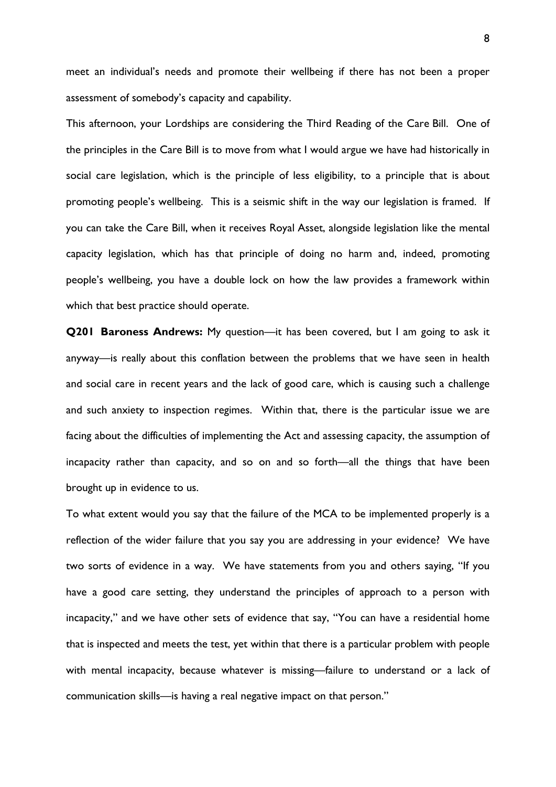meet an individual's needs and promote their wellbeing if there has not been a proper assessment of somebody's capacity and capability.

This afternoon, your Lordships are considering the Third Reading of the Care Bill. One of the principles in the Care Bill is to move from what I would argue we have had historically in social care legislation, which is the principle of less eligibility, to a principle that is about promoting people's wellbeing. This is a seismic shift in the way our legislation is framed. If you can take the Care Bill, when it receives Royal Asset, alongside legislation like the mental capacity legislation, which has that principle of doing no harm and, indeed, promoting people's wellbeing, you have a double lock on how the law provides a framework within which that best practice should operate.

**Q201 Baroness Andrews:** My question—it has been covered, but I am going to ask it anyway—is really about this conflation between the problems that we have seen in health and social care in recent years and the lack of good care, which is causing such a challenge and such anxiety to inspection regimes. Within that, there is the particular issue we are facing about the difficulties of implementing the Act and assessing capacity, the assumption of incapacity rather than capacity, and so on and so forth—all the things that have been brought up in evidence to us.

To what extent would you say that the failure of the MCA to be implemented properly is a reflection of the wider failure that you say you are addressing in your evidence? We have two sorts of evidence in a way. We have statements from you and others saying, "If you have a good care setting, they understand the principles of approach to a person with incapacity," and we have other sets of evidence that say, "You can have a residential home that is inspected and meets the test, yet within that there is a particular problem with people with mental incapacity, because whatever is missing—failure to understand or a lack of communication skills—is having a real negative impact on that person."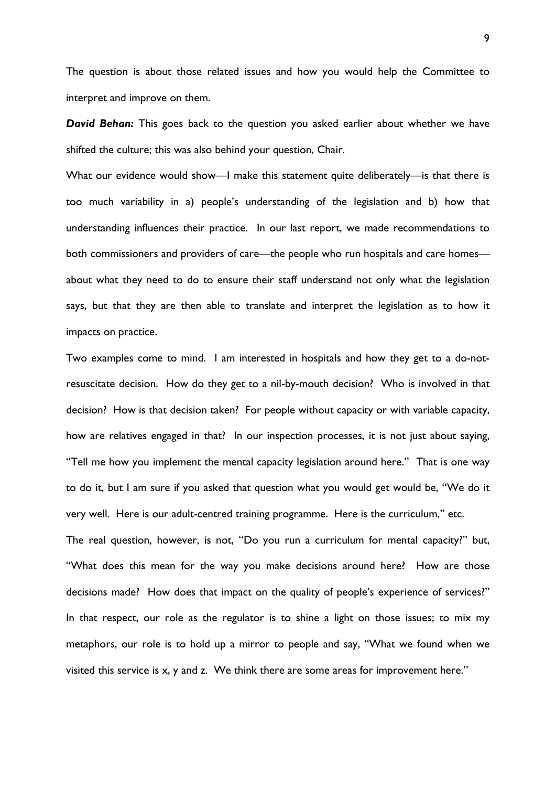The question is about those related issues and how you would help the Committee to interpret and improve on them.

*David Behan:* This goes back to the question you asked earlier about whether we have shifted the culture; this was also behind your question, Chair.

What our evidence would show—I make this statement quite deliberately—is that there is too much variability in a) people's understanding of the legislation and b) how that understanding influences their practice. In our last report, we made recommendations to both commissioners and providers of care—the people who run hospitals and care homes about what they need to do to ensure their staff understand not only what the legislation says, but that they are then able to translate and interpret the legislation as to how it impacts on practice.

Two examples come to mind. I am interested in hospitals and how they get to a do-notresuscitate decision. How do they get to a nil-by-mouth decision? Who is involved in that decision? How is that decision taken? For people without capacity or with variable capacity, how are relatives engaged in that? In our inspection processes, it is not just about saying, "Tell me how you implement the mental capacity legislation around here." That is one way to do it, but I am sure if you asked that question what you would get would be, "We do it very well. Here is our adult-centred training programme. Here is the curriculum," etc. The real question, however, is not, "Do you run a curriculum for mental capacity?" but, "What does this mean for the way you make decisions around here? How are those decisions made? How does that impact on the quality of people's experience of services?" In that respect, our role as the regulator is to shine a light on those issues; to mix my

visited this service is x, y and z. We think there are some areas for improvement here."

metaphors, our role is to hold up a mirror to people and say, "What we found when we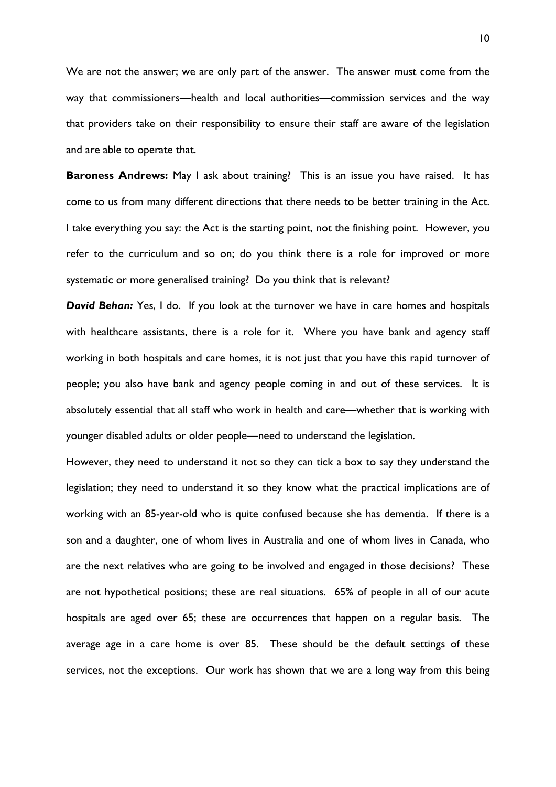We are not the answer; we are only part of the answer. The answer must come from the way that commissioners—health and local authorities—commission services and the way that providers take on their responsibility to ensure their staff are aware of the legislation and are able to operate that.

**Baroness Andrews:** May I ask about training? This is an issue you have raised. It has come to us from many different directions that there needs to be better training in the Act. I take everything you say: the Act is the starting point, not the finishing point. However, you refer to the curriculum and so on; do you think there is a role for improved or more systematic or more generalised training? Do you think that is relevant?

*David Behan:* Yes, I do. If you look at the turnover we have in care homes and hospitals with healthcare assistants, there is a role for it. Where you have bank and agency staff working in both hospitals and care homes, it is not just that you have this rapid turnover of people; you also have bank and agency people coming in and out of these services. It is absolutely essential that all staff who work in health and care—whether that is working with younger disabled adults or older people—need to understand the legislation.

However, they need to understand it not so they can tick a box to say they understand the legislation; they need to understand it so they know what the practical implications are of working with an 85-year-old who is quite confused because she has dementia. If there is a son and a daughter, one of whom lives in Australia and one of whom lives in Canada, who are the next relatives who are going to be involved and engaged in those decisions? These are not hypothetical positions; these are real situations. 65% of people in all of our acute hospitals are aged over 65; these are occurrences that happen on a regular basis. The average age in a care home is over 85. These should be the default settings of these services, not the exceptions. Our work has shown that we are a long way from this being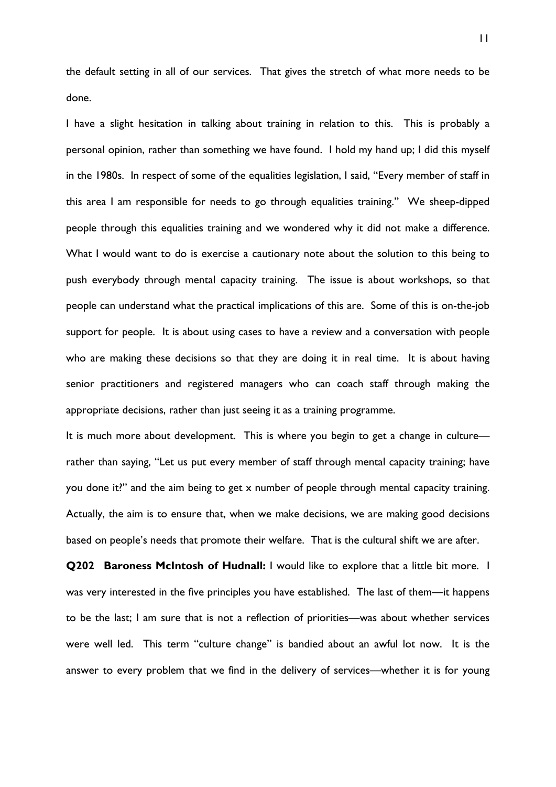the default setting in all of our services. That gives the stretch of what more needs to be done.

I have a slight hesitation in talking about training in relation to this. This is probably a personal opinion, rather than something we have found. I hold my hand up; I did this myself in the 1980s. In respect of some of the equalities legislation, I said, "Every member of staff in this area I am responsible for needs to go through equalities training." We sheep-dipped people through this equalities training and we wondered why it did not make a difference. What I would want to do is exercise a cautionary note about the solution to this being to push everybody through mental capacity training. The issue is about workshops, so that people can understand what the practical implications of this are. Some of this is on-the-job support for people. It is about using cases to have a review and a conversation with people who are making these decisions so that they are doing it in real time. It is about having senior practitioners and registered managers who can coach staff through making the appropriate decisions, rather than just seeing it as a training programme.

It is much more about development. This is where you begin to get a change in culture rather than saying, "Let us put every member of staff through mental capacity training; have you done it?" and the aim being to get x number of people through mental capacity training. Actually, the aim is to ensure that, when we make decisions, we are making good decisions based on people's needs that promote their welfare. That is the cultural shift we are after.

**Q202 Baroness McIntosh of Hudnall:** I would like to explore that a little bit more. I was very interested in the five principles you have established. The last of them—it happens to be the last; I am sure that is not a reflection of priorities—was about whether services were well led. This term "culture change" is bandied about an awful lot now. It is the answer to every problem that we find in the delivery of services—whether it is for young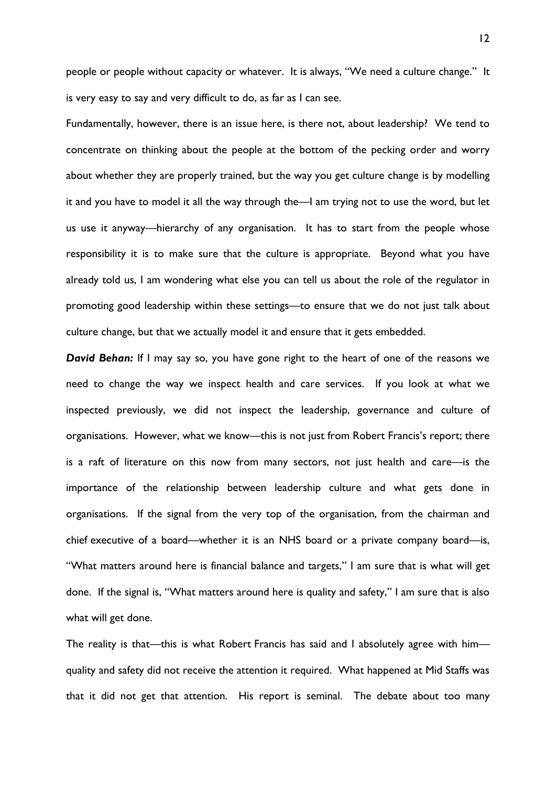people or people without capacity or whatever. It is always, "We need a culture change." It is very easy to say and very difficult to do, as far as I can see.

Fundamentally, however, there is an issue here, is there not, about leadership? We tend to concentrate on thinking about the people at the bottom of the pecking order and worry about whether they are properly trained, but the way you get culture change is by modelling it and you have to model it all the way through the—I am trying not to use the word, but let us use it anyway—hierarchy of any organisation. It has to start from the people whose responsibility it is to make sure that the culture is appropriate. Beyond what you have already told us, I am wondering what else you can tell us about the role of the regulator in promoting good leadership within these settings—to ensure that we do not just talk about culture change, but that we actually model it and ensure that it gets embedded.

*David Behan:* If I may say so, you have gone right to the heart of one of the reasons we need to change the way we inspect health and care services. If you look at what we inspected previously, we did not inspect the leadership, governance and culture of organisations. However, what we know—this is not just from Robert Francis's report; there is a raft of literature on this now from many sectors, not just health and care—is the importance of the relationship between leadership culture and what gets done in organisations. If the signal from the very top of the organisation, from the chairman and chief executive of a board—whether it is an NHS board or a private company board—is, "What matters around here is financial balance and targets," I am sure that is what will get done. If the signal is, "What matters around here is quality and safety," I am sure that is also what will get done.

The reality is that—this is what Robert Francis has said and I absolutely agree with him quality and safety did not receive the attention it required. What happened at Mid Staffs was that it did not get that attention. His report is seminal. The debate about too many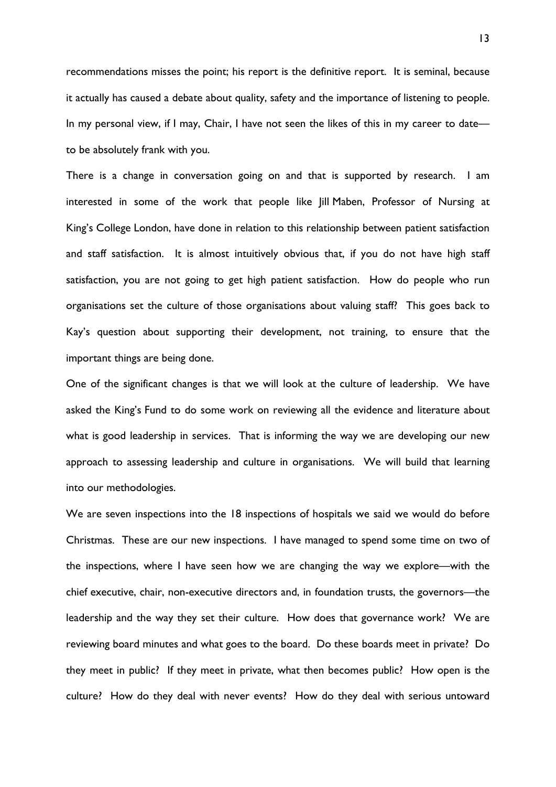recommendations misses the point; his report is the definitive report. It is seminal, because it actually has caused a debate about quality, safety and the importance of listening to people. In my personal view, if I may, Chair, I have not seen the likes of this in my career to date to be absolutely frank with you.

There is a change in conversation going on and that is supported by research. I am interested in some of the work that people like Jill Maben, Professor of Nursing at King's College London, have done in relation to this relationship between patient satisfaction and staff satisfaction. It is almost intuitively obvious that, if you do not have high staff satisfaction, you are not going to get high patient satisfaction. How do people who run organisations set the culture of those organisations about valuing staff? This goes back to Kay's question about supporting their development, not training, to ensure that the important things are being done.

One of the significant changes is that we will look at the culture of leadership. We have asked the King's Fund to do some work on reviewing all the evidence and literature about what is good leadership in services. That is informing the way we are developing our new approach to assessing leadership and culture in organisations. We will build that learning into our methodologies.

We are seven inspections into the 18 inspections of hospitals we said we would do before Christmas. These are our new inspections. I have managed to spend some time on two of the inspections, where I have seen how we are changing the way we explore—with the chief executive, chair, non-executive directors and, in foundation trusts, the governors—the leadership and the way they set their culture. How does that governance work? We are reviewing board minutes and what goes to the board. Do these boards meet in private? Do they meet in public? If they meet in private, what then becomes public? How open is the culture? How do they deal with never events? How do they deal with serious untoward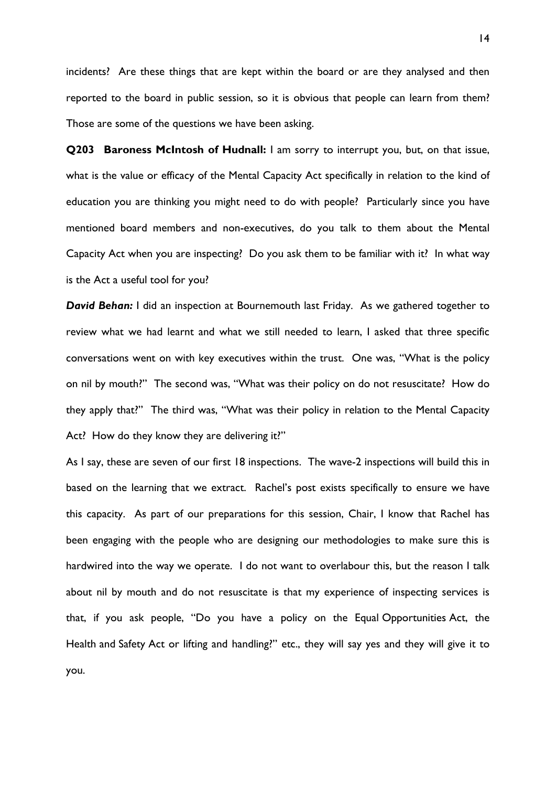incidents? Are these things that are kept within the board or are they analysed and then reported to the board in public session, so it is obvious that people can learn from them? Those are some of the questions we have been asking.

**Q203 Baroness McIntosh of Hudnall:** I am sorry to interrupt you, but, on that issue, what is the value or efficacy of the Mental Capacity Act specifically in relation to the kind of education you are thinking you might need to do with people? Particularly since you have mentioned board members and non-executives, do you talk to them about the Mental Capacity Act when you are inspecting? Do you ask them to be familiar with it? In what way is the Act a useful tool for you?

**David Behan:** I did an inspection at Bournemouth last Friday. As we gathered together to review what we had learnt and what we still needed to learn, I asked that three specific conversations went on with key executives within the trust. One was, "What is the policy on nil by mouth?" The second was, "What was their policy on do not resuscitate? How do they apply that?" The third was, "What was their policy in relation to the Mental Capacity Act? How do they know they are delivering it?"

As I say, these are seven of our first 18 inspections. The wave-2 inspections will build this in based on the learning that we extract. Rachel's post exists specifically to ensure we have this capacity. As part of our preparations for this session, Chair, I know that Rachel has been engaging with the people who are designing our methodologies to make sure this is hardwired into the way we operate. I do not want to overlabour this, but the reason I talk about nil by mouth and do not resuscitate is that my experience of inspecting services is that, if you ask people, "Do you have a policy on the Equal Opportunities Act, the Health and Safety Act or lifting and handling?" etc., they will say yes and they will give it to you.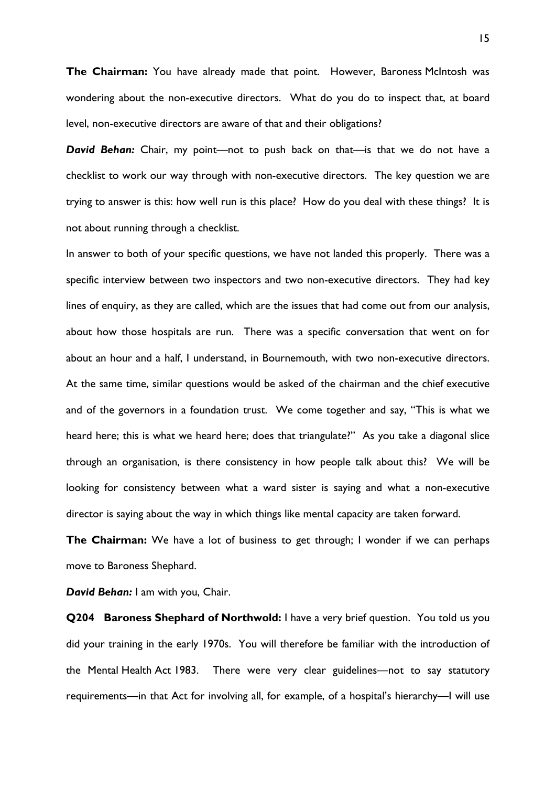**The Chairman:** You have already made that point. However, Baroness McIntosh was wondering about the non-executive directors. What do you do to inspect that, at board level, non-executive directors are aware of that and their obligations?

*David Behan:* Chair, my point—not to push back on that—is that we do not have a checklist to work our way through with non-executive directors. The key question we are trying to answer is this: how well run is this place? How do you deal with these things? It is not about running through a checklist.

In answer to both of your specific questions, we have not landed this properly. There was a specific interview between two inspectors and two non-executive directors. They had key lines of enquiry, as they are called, which are the issues that had come out from our analysis, about how those hospitals are run. There was a specific conversation that went on for about an hour and a half, I understand, in Bournemouth, with two non-executive directors. At the same time, similar questions would be asked of the chairman and the chief executive and of the governors in a foundation trust. We come together and say, "This is what we heard here; this is what we heard here; does that triangulate?" As you take a diagonal slice through an organisation, is there consistency in how people talk about this? We will be looking for consistency between what a ward sister is saying and what a non-executive director is saying about the way in which things like mental capacity are taken forward.

**The Chairman:** We have a lot of business to get through; I wonder if we can perhaps move to Baroness Shephard.

*David Behan:* I am with you, Chair.

**Q204 Baroness Shephard of Northwold:** I have a very brief question. You told us you did your training in the early 1970s. You will therefore be familiar with the introduction of the Mental Health Act 1983. There were very clear guidelines—not to say statutory requirements—in that Act for involving all, for example, of a hospital's hierarchy—I will use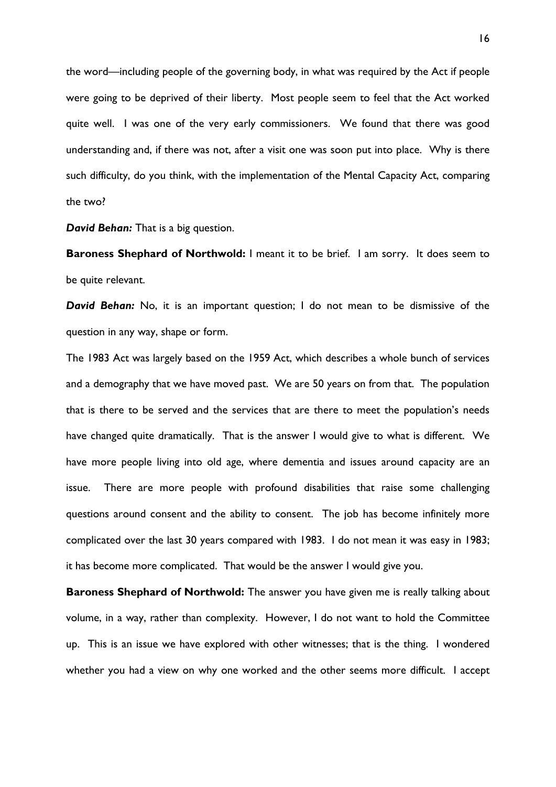the word—including people of the governing body, in what was required by the Act if people were going to be deprived of their liberty. Most people seem to feel that the Act worked quite well. I was one of the very early commissioners. We found that there was good understanding and, if there was not, after a visit one was soon put into place. Why is there such difficulty, do you think, with the implementation of the Mental Capacity Act, comparing the two?

*David Behan:* That is a big question.

**Baroness Shephard of Northwold:** I meant it to be brief. I am sorry. It does seem to be quite relevant.

*David Behan:* No, it is an important question; I do not mean to be dismissive of the question in any way, shape or form.

The 1983 Act was largely based on the 1959 Act, which describes a whole bunch of services and a demography that we have moved past. We are 50 years on from that. The population that is there to be served and the services that are there to meet the population's needs have changed quite dramatically. That is the answer I would give to what is different. We have more people living into old age, where dementia and issues around capacity are an issue. There are more people with profound disabilities that raise some challenging questions around consent and the ability to consent. The job has become infinitely more complicated over the last 30 years compared with 1983. I do not mean it was easy in 1983; it has become more complicated. That would be the answer I would give you.

**Baroness Shephard of Northwold:** The answer you have given me is really talking about volume, in a way, rather than complexity. However, I do not want to hold the Committee up. This is an issue we have explored with other witnesses; that is the thing. I wondered whether you had a view on why one worked and the other seems more difficult. I accept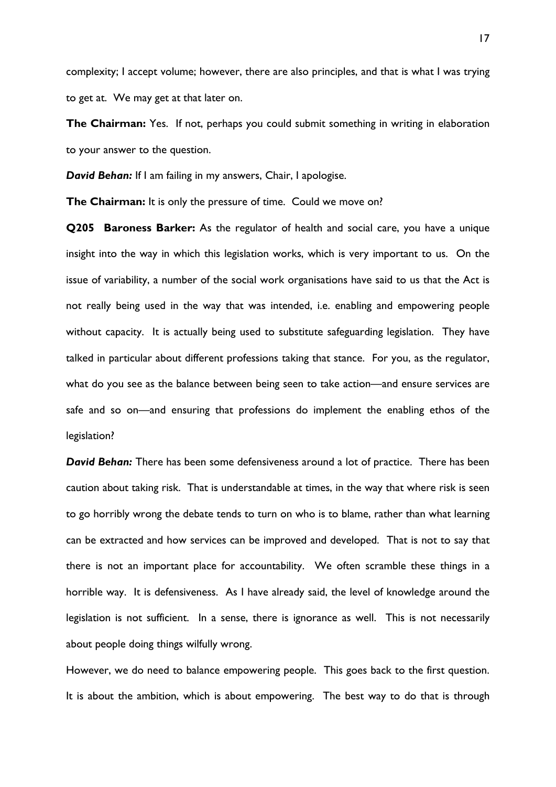complexity; I accept volume; however, there are also principles, and that is what I was trying to get at. We may get at that later on.

**The Chairman:** Yes. If not, perhaps you could submit something in writing in elaboration to your answer to the question.

*David Behan:* If I am failing in my answers, Chair, I apologise.

**The Chairman:** It is only the pressure of time. Could we move on?

**Q205 Baroness Barker:** As the regulator of health and social care, you have a unique insight into the way in which this legislation works, which is very important to us. On the issue of variability, a number of the social work organisations have said to us that the Act is not really being used in the way that was intended, i.e. enabling and empowering people without capacity. It is actually being used to substitute safeguarding legislation. They have talked in particular about different professions taking that stance. For you, as the regulator, what do you see as the balance between being seen to take action—and ensure services are safe and so on—and ensuring that professions do implement the enabling ethos of the legislation?

*David Behan:* There has been some defensiveness around a lot of practice. There has been caution about taking risk. That is understandable at times, in the way that where risk is seen to go horribly wrong the debate tends to turn on who is to blame, rather than what learning can be extracted and how services can be improved and developed. That is not to say that there is not an important place for accountability. We often scramble these things in a horrible way. It is defensiveness. As I have already said, the level of knowledge around the legislation is not sufficient. In a sense, there is ignorance as well. This is not necessarily about people doing things wilfully wrong.

However, we do need to balance empowering people. This goes back to the first question. It is about the ambition, which is about empowering. The best way to do that is through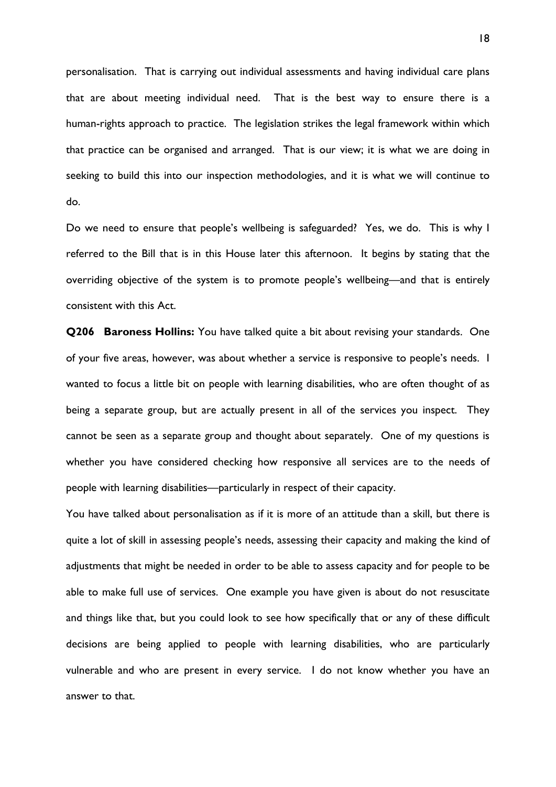personalisation. That is carrying out individual assessments and having individual care plans that are about meeting individual need. That is the best way to ensure there is a human-rights approach to practice. The legislation strikes the legal framework within which that practice can be organised and arranged. That is our view; it is what we are doing in seeking to build this into our inspection methodologies, and it is what we will continue to do.

Do we need to ensure that people's wellbeing is safeguarded? Yes, we do. This is why I referred to the Bill that is in this House later this afternoon. It begins by stating that the overriding objective of the system is to promote people's wellbeing—and that is entirely consistent with this Act.

**Q206 Baroness Hollins:** You have talked quite a bit about revising your standards. One of your five areas, however, was about whether a service is responsive to people's needs. I wanted to focus a little bit on people with learning disabilities, who are often thought of as being a separate group, but are actually present in all of the services you inspect. They cannot be seen as a separate group and thought about separately. One of my questions is whether you have considered checking how responsive all services are to the needs of people with learning disabilities—particularly in respect of their capacity.

You have talked about personalisation as if it is more of an attitude than a skill, but there is quite a lot of skill in assessing people's needs, assessing their capacity and making the kind of adjustments that might be needed in order to be able to assess capacity and for people to be able to make full use of services. One example you have given is about do not resuscitate and things like that, but you could look to see how specifically that or any of these difficult decisions are being applied to people with learning disabilities, who are particularly vulnerable and who are present in every service. I do not know whether you have an answer to that.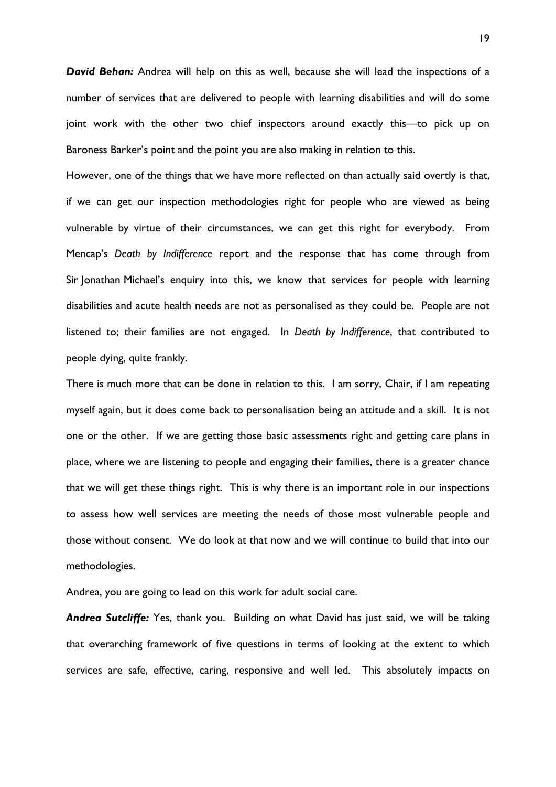*David Behan:* Andrea will help on this as well, because she will lead the inspections of a number of services that are delivered to people with learning disabilities and will do some joint work with the other two chief inspectors around exactly this—to pick up on Baroness Barker's point and the point you are also making in relation to this.

However, one of the things that we have more reflected on than actually said overtly is that, if we can get our inspection methodologies right for people who are viewed as being vulnerable by virtue of their circumstances, we can get this right for everybody. From Mencap's *Death by Indifference* report and the response that has come through from Sir Jonathan Michael's enquiry into this, we know that services for people with learning disabilities and acute health needs are not as personalised as they could be. People are not listened to; their families are not engaged. In *Death by Indifference*, that contributed to people dying, quite frankly.

There is much more that can be done in relation to this. I am sorry, Chair, if I am repeating myself again, but it does come back to personalisation being an attitude and a skill. It is not one or the other. If we are getting those basic assessments right and getting care plans in place, where we are listening to people and engaging their families, there is a greater chance that we will get these things right. This is why there is an important role in our inspections to assess how well services are meeting the needs of those most vulnerable people and those without consent. We do look at that now and we will continue to build that into our methodologies.

Andrea, you are going to lead on this work for adult social care.

*Andrea Sutcliffe:* Yes, thank you. Building on what David has just said, we will be taking that overarching framework of five questions in terms of looking at the extent to which services are safe, effective, caring, responsive and well led. This absolutely impacts on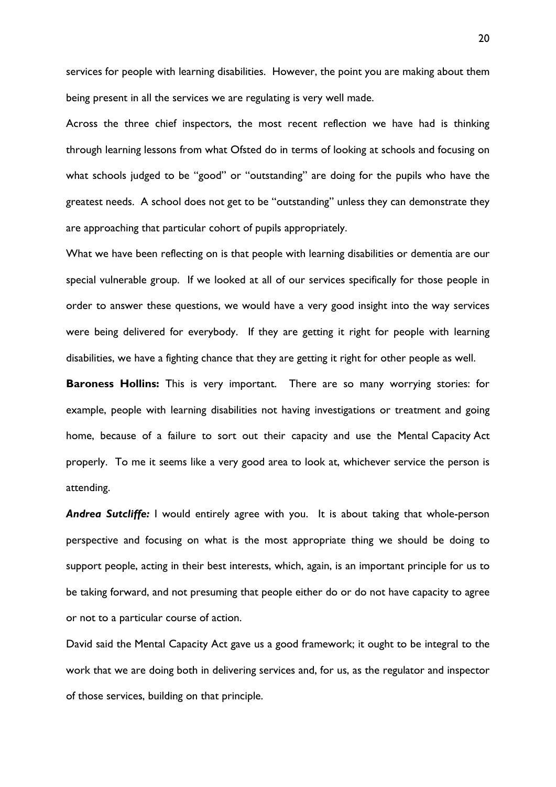services for people with learning disabilities. However, the point you are making about them being present in all the services we are regulating is very well made.

Across the three chief inspectors, the most recent reflection we have had is thinking through learning lessons from what Ofsted do in terms of looking at schools and focusing on what schools judged to be "good" or "outstanding" are doing for the pupils who have the greatest needs. A school does not get to be "outstanding" unless they can demonstrate they are approaching that particular cohort of pupils appropriately.

What we have been reflecting on is that people with learning disabilities or dementia are our special vulnerable group. If we looked at all of our services specifically for those people in order to answer these questions, we would have a very good insight into the way services were being delivered for everybody. If they are getting it right for people with learning disabilities, we have a fighting chance that they are getting it right for other people as well.

**Baroness Hollins:** This is very important. There are so many worrying stories: for example, people with learning disabilities not having investigations or treatment and going home, because of a failure to sort out their capacity and use the Mental Capacity Act properly. To me it seems like a very good area to look at, whichever service the person is attending.

*Andrea Sutcliffe:* I would entirely agree with you. It is about taking that whole-person perspective and focusing on what is the most appropriate thing we should be doing to support people, acting in their best interests, which, again, is an important principle for us to be taking forward, and not presuming that people either do or do not have capacity to agree or not to a particular course of action.

David said the Mental Capacity Act gave us a good framework; it ought to be integral to the work that we are doing both in delivering services and, for us, as the regulator and inspector of those services, building on that principle.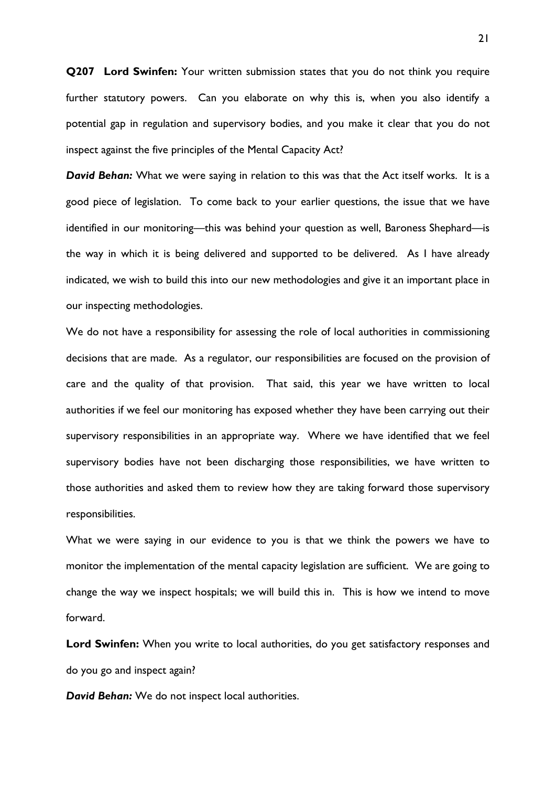**Q207 Lord Swinfen:** Your written submission states that you do not think you require further statutory powers. Can you elaborate on why this is, when you also identify a potential gap in regulation and supervisory bodies, and you make it clear that you do not inspect against the five principles of the Mental Capacity Act?

*David Behan:* What we were saying in relation to this was that the Act itself works. It is a good piece of legislation. To come back to your earlier questions, the issue that we have identified in our monitoring—this was behind your question as well, Baroness Shephard—is the way in which it is being delivered and supported to be delivered. As I have already indicated, we wish to build this into our new methodologies and give it an important place in our inspecting methodologies.

We do not have a responsibility for assessing the role of local authorities in commissioning decisions that are made. As a regulator, our responsibilities are focused on the provision of care and the quality of that provision. That said, this year we have written to local authorities if we feel our monitoring has exposed whether they have been carrying out their supervisory responsibilities in an appropriate way. Where we have identified that we feel supervisory bodies have not been discharging those responsibilities, we have written to those authorities and asked them to review how they are taking forward those supervisory responsibilities.

What we were saying in our evidence to you is that we think the powers we have to monitor the implementation of the mental capacity legislation are sufficient. We are going to change the way we inspect hospitals; we will build this in. This is how we intend to move forward.

**Lord Swinfen:** When you write to local authorities, do you get satisfactory responses and do you go and inspect again?

*David Behan:* We do not inspect local authorities.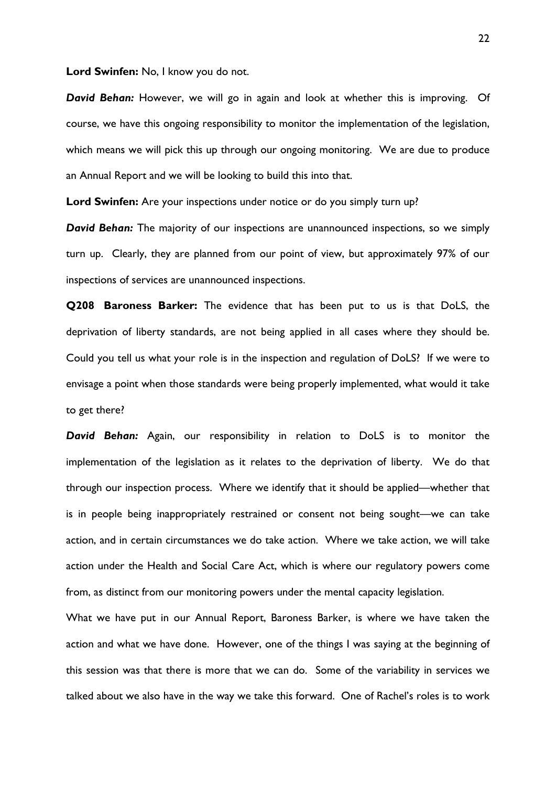**Lord Swinfen:** No, I know you do not.

*David Behan:* However, we will go in again and look at whether this is improving. Of course, we have this ongoing responsibility to monitor the implementation of the legislation, which means we will pick this up through our ongoing monitoring. We are due to produce an Annual Report and we will be looking to build this into that.

**Lord Swinfen:** Are your inspections under notice or do you simply turn up?

*David Behan:* The majority of our inspections are unannounced inspections, so we simply turn up. Clearly, they are planned from our point of view, but approximately 97% of our inspections of services are unannounced inspections.

**Q208 Baroness Barker:** The evidence that has been put to us is that DoLS, the deprivation of liberty standards, are not being applied in all cases where they should be. Could you tell us what your role is in the inspection and regulation of DoLS? If we were to envisage a point when those standards were being properly implemented, what would it take to get there?

*David Behan:* Again, our responsibility in relation to DoLS is to monitor the implementation of the legislation as it relates to the deprivation of liberty. We do that through our inspection process. Where we identify that it should be applied—whether that is in people being inappropriately restrained or consent not being sought—we can take action, and in certain circumstances we do take action. Where we take action, we will take action under the Health and Social Care Act, which is where our regulatory powers come from, as distinct from our monitoring powers under the mental capacity legislation.

What we have put in our Annual Report, Baroness Barker, is where we have taken the action and what we have done. However, one of the things I was saying at the beginning of this session was that there is more that we can do. Some of the variability in services we talked about we also have in the way we take this forward. One of Rachel's roles is to work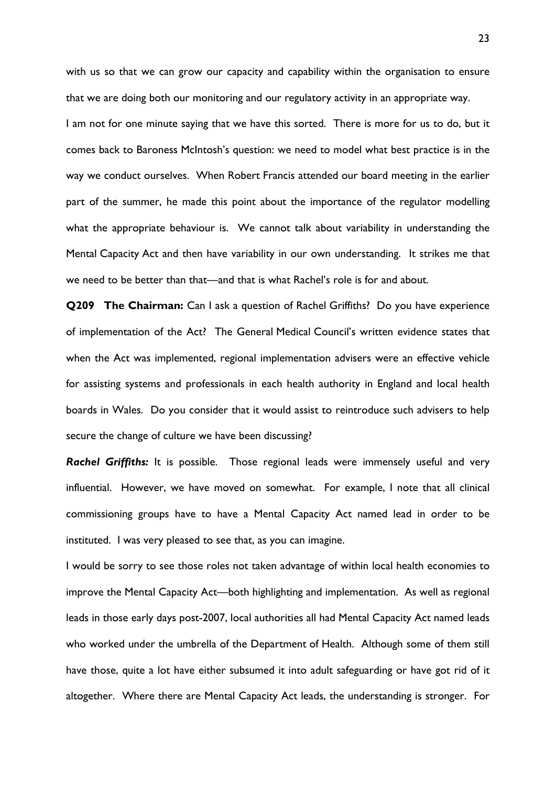with us so that we can grow our capacity and capability within the organisation to ensure that we are doing both our monitoring and our regulatory activity in an appropriate way. I am not for one minute saying that we have this sorted. There is more for us to do, but it comes back to Baroness McIntosh's question: we need to model what best practice is in the way we conduct ourselves. When Robert Francis attended our board meeting in the earlier part of the summer, he made this point about the importance of the regulator modelling what the appropriate behaviour is. We cannot talk about variability in understanding the Mental Capacity Act and then have variability in our own understanding. It strikes me that we need to be better than that—and that is what Rachel's role is for and about.

**Q209 The Chairman:** Can I ask a question of Rachel Griffiths? Do you have experience of implementation of the Act? The General Medical Council's written evidence states that when the Act was implemented, regional implementation advisers were an effective vehicle for assisting systems and professionals in each health authority in England and local health boards in Wales. Do you consider that it would assist to reintroduce such advisers to help secure the change of culture we have been discussing?

*Rachel Griffiths:* It is possible. Those regional leads were immensely useful and very influential. However, we have moved on somewhat. For example, I note that all clinical commissioning groups have to have a Mental Capacity Act named lead in order to be instituted. I was very pleased to see that, as you can imagine.

I would be sorry to see those roles not taken advantage of within local health economies to improve the Mental Capacity Act—both highlighting and implementation. As well as regional leads in those early days post-2007, local authorities all had Mental Capacity Act named leads who worked under the umbrella of the Department of Health. Although some of them still have those, quite a lot have either subsumed it into adult safeguarding or have got rid of it altogether. Where there are Mental Capacity Act leads, the understanding is stronger. For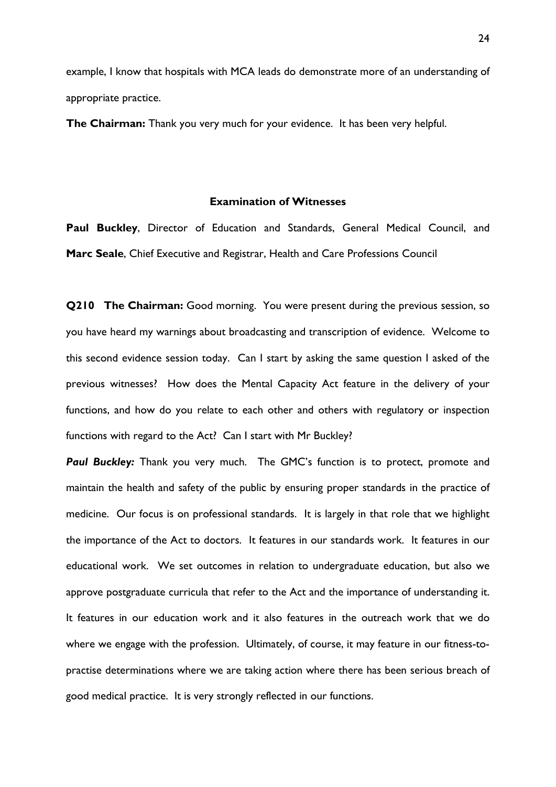example, I know that hospitals with MCA leads do demonstrate more of an understanding of appropriate practice.

**The Chairman:** Thank you very much for your evidence. It has been very helpful.

### **Examination of Witnesses**

**Paul Buckley**, Director of Education and Standards, General Medical Council, and **Marc Seale**, Chief Executive and Registrar, Health and Care Professions Council

**Q210 The Chairman:** Good morning. You were present during the previous session, so you have heard my warnings about broadcasting and transcription of evidence. Welcome to this second evidence session today. Can I start by asking the same question I asked of the previous witnesses? How does the Mental Capacity Act feature in the delivery of your functions, and how do you relate to each other and others with regulatory or inspection functions with regard to the Act? Can I start with Mr Buckley?

**Paul Buckley:** Thank you very much. The GMC's function is to protect, promote and maintain the health and safety of the public by ensuring proper standards in the practice of medicine. Our focus is on professional standards. It is largely in that role that we highlight the importance of the Act to doctors. It features in our standards work. It features in our educational work. We set outcomes in relation to undergraduate education, but also we approve postgraduate curricula that refer to the Act and the importance of understanding it. It features in our education work and it also features in the outreach work that we do where we engage with the profession. Ultimately, of course, it may feature in our fitness-topractise determinations where we are taking action where there has been serious breach of good medical practice. It is very strongly reflected in our functions.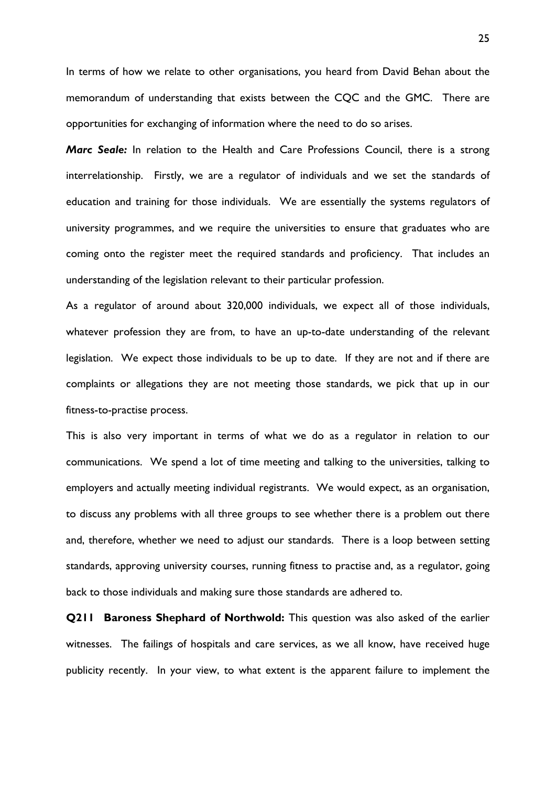In terms of how we relate to other organisations, you heard from David Behan about the memorandum of understanding that exists between the CQC and the GMC. There are opportunities for exchanging of information where the need to do so arises.

*Marc Seale:* In relation to the Health and Care Professions Council, there is a strong interrelationship. Firstly, we are a regulator of individuals and we set the standards of education and training for those individuals. We are essentially the systems regulators of university programmes, and we require the universities to ensure that graduates who are coming onto the register meet the required standards and proficiency. That includes an understanding of the legislation relevant to their particular profession.

As a regulator of around about 320,000 individuals, we expect all of those individuals, whatever profession they are from, to have an up-to-date understanding of the relevant legislation. We expect those individuals to be up to date. If they are not and if there are complaints or allegations they are not meeting those standards, we pick that up in our fitness-to-practise process.

This is also very important in terms of what we do as a regulator in relation to our communications. We spend a lot of time meeting and talking to the universities, talking to employers and actually meeting individual registrants. We would expect, as an organisation, to discuss any problems with all three groups to see whether there is a problem out there and, therefore, whether we need to adjust our standards. There is a loop between setting standards, approving university courses, running fitness to practise and, as a regulator, going back to those individuals and making sure those standards are adhered to.

**Q211 Baroness Shephard of Northwold:** This question was also asked of the earlier witnesses. The failings of hospitals and care services, as we all know, have received huge publicity recently. In your view, to what extent is the apparent failure to implement the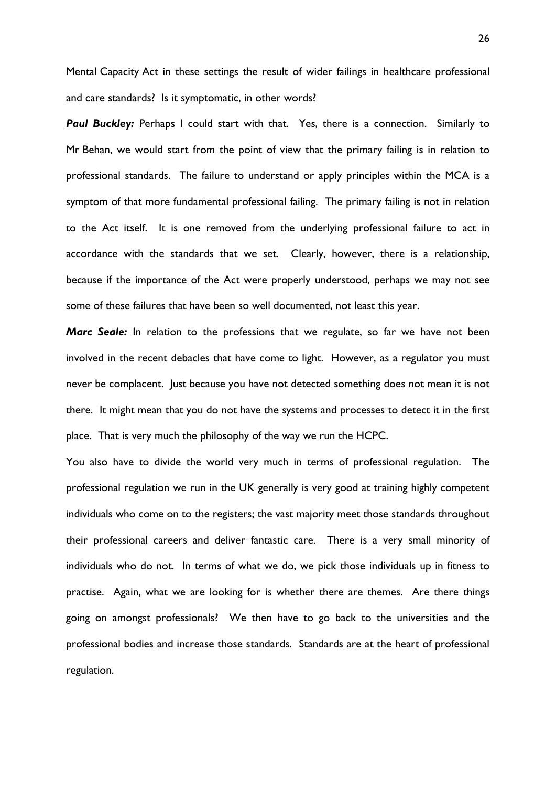Mental Capacity Act in these settings the result of wider failings in healthcare professional and care standards? Is it symptomatic, in other words?

**Paul Buckley:** Perhaps I could start with that. Yes, there is a connection. Similarly to Mr Behan, we would start from the point of view that the primary failing is in relation to professional standards. The failure to understand or apply principles within the MCA is a symptom of that more fundamental professional failing. The primary failing is not in relation to the Act itself. It is one removed from the underlying professional failure to act in accordance with the standards that we set. Clearly, however, there is a relationship, because if the importance of the Act were properly understood, perhaps we may not see some of these failures that have been so well documented, not least this year.

*Marc Seale:* In relation to the professions that we regulate, so far we have not been involved in the recent debacles that have come to light. However, as a regulator you must never be complacent. Just because you have not detected something does not mean it is not there. It might mean that you do not have the systems and processes to detect it in the first place. That is very much the philosophy of the way we run the HCPC.

You also have to divide the world very much in terms of professional regulation. The professional regulation we run in the UK generally is very good at training highly competent individuals who come on to the registers; the vast majority meet those standards throughout their professional careers and deliver fantastic care. There is a very small minority of individuals who do not. In terms of what we do, we pick those individuals up in fitness to practise. Again, what we are looking for is whether there are themes. Are there things going on amongst professionals? We then have to go back to the universities and the professional bodies and increase those standards. Standards are at the heart of professional regulation.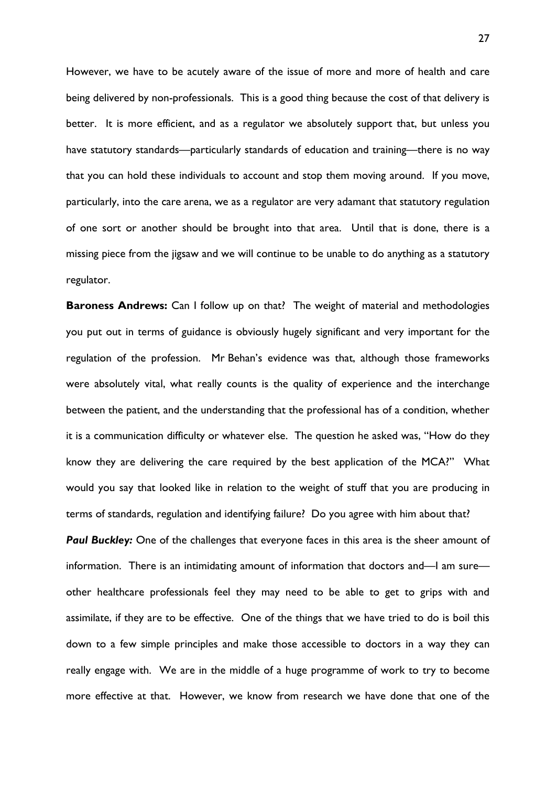However, we have to be acutely aware of the issue of more and more of health and care being delivered by non-professionals. This is a good thing because the cost of that delivery is better. It is more efficient, and as a regulator we absolutely support that, but unless you have statutory standards—particularly standards of education and training—there is no way that you can hold these individuals to account and stop them moving around. If you move, particularly, into the care arena, we as a regulator are very adamant that statutory regulation of one sort or another should be brought into that area. Until that is done, there is a missing piece from the jigsaw and we will continue to be unable to do anything as a statutory regulator.

**Baroness Andrews:** Can I follow up on that? The weight of material and methodologies you put out in terms of guidance is obviously hugely significant and very important for the regulation of the profession. Mr Behan's evidence was that, although those frameworks were absolutely vital, what really counts is the quality of experience and the interchange between the patient, and the understanding that the professional has of a condition, whether it is a communication difficulty or whatever else. The question he asked was, "How do they know they are delivering the care required by the best application of the MCA?" What would you say that looked like in relation to the weight of stuff that you are producing in terms of standards, regulation and identifying failure? Do you agree with him about that?

**Paul Buckley:** One of the challenges that everyone faces in this area is the sheer amount of information. There is an intimidating amount of information that doctors and—I am sure other healthcare professionals feel they may need to be able to get to grips with and assimilate, if they are to be effective. One of the things that we have tried to do is boil this down to a few simple principles and make those accessible to doctors in a way they can really engage with. We are in the middle of a huge programme of work to try to become more effective at that. However, we know from research we have done that one of the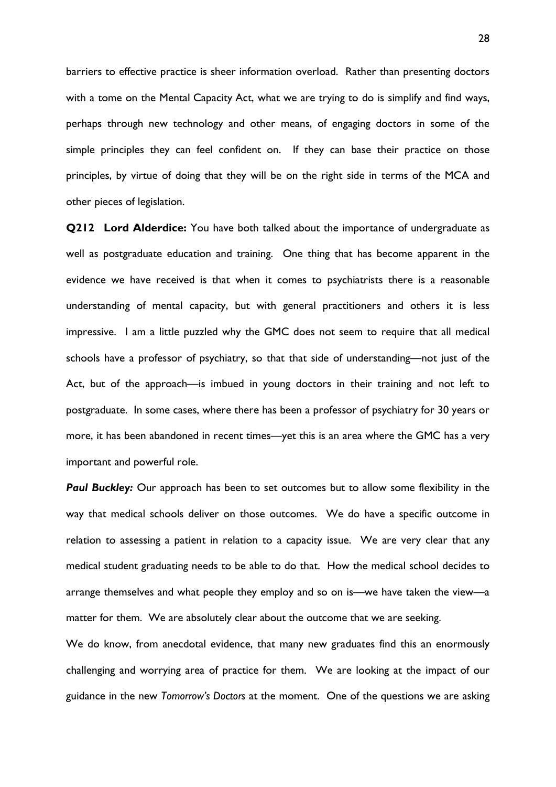barriers to effective practice is sheer information overload. Rather than presenting doctors with a tome on the Mental Capacity Act, what we are trying to do is simplify and find ways, perhaps through new technology and other means, of engaging doctors in some of the simple principles they can feel confident on. If they can base their practice on those principles, by virtue of doing that they will be on the right side in terms of the MCA and other pieces of legislation.

**Q212 Lord Alderdice:** You have both talked about the importance of undergraduate as well as postgraduate education and training. One thing that has become apparent in the evidence we have received is that when it comes to psychiatrists there is a reasonable understanding of mental capacity, but with general practitioners and others it is less impressive. I am a little puzzled why the GMC does not seem to require that all medical schools have a professor of psychiatry, so that that side of understanding—not just of the Act, but of the approach—is imbued in young doctors in their training and not left to postgraduate. In some cases, where there has been a professor of psychiatry for 30 years or more, it has been abandoned in recent times—yet this is an area where the GMC has a very important and powerful role.

**Paul Buckley:** Our approach has been to set outcomes but to allow some flexibility in the way that medical schools deliver on those outcomes. We do have a specific outcome in relation to assessing a patient in relation to a capacity issue. We are very clear that any medical student graduating needs to be able to do that. How the medical school decides to arrange themselves and what people they employ and so on is—we have taken the view—a matter for them. We are absolutely clear about the outcome that we are seeking.

We do know, from anecdotal evidence, that many new graduates find this an enormously challenging and worrying area of practice for them. We are looking at the impact of our guidance in the new *Tomorrow's Doctors* at the moment. One of the questions we are asking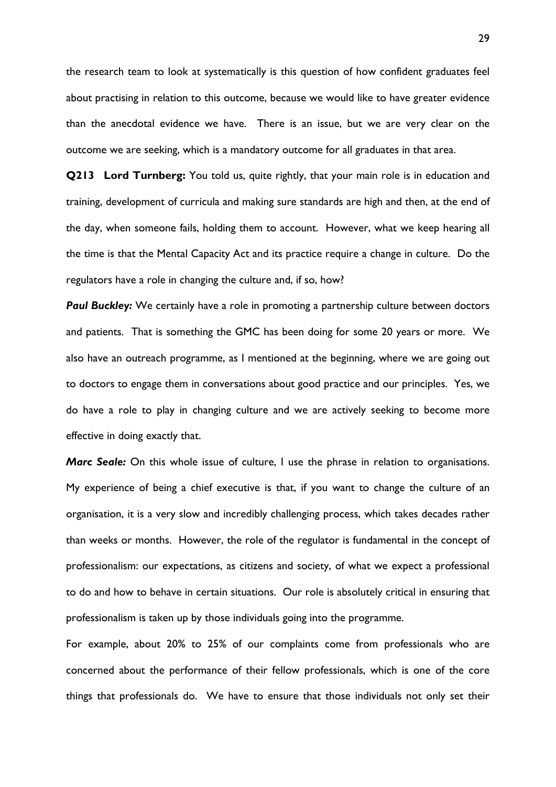the research team to look at systematically is this question of how confident graduates feel about practising in relation to this outcome, because we would like to have greater evidence than the anecdotal evidence we have. There is an issue, but we are very clear on the outcome we are seeking, which is a mandatory outcome for all graduates in that area.

**Q213 Lord Turnberg:** You told us, quite rightly, that your main role is in education and training, development of curricula and making sure standards are high and then, at the end of the day, when someone fails, holding them to account. However, what we keep hearing all the time is that the Mental Capacity Act and its practice require a change in culture. Do the regulators have a role in changing the culture and, if so, how?

**Paul Buckley:** We certainly have a role in promoting a partnership culture between doctors and patients. That is something the GMC has been doing for some 20 years or more. We also have an outreach programme, as I mentioned at the beginning, where we are going out to doctors to engage them in conversations about good practice and our principles. Yes, we do have a role to play in changing culture and we are actively seeking to become more effective in doing exactly that.

*Marc Seale:* On this whole issue of culture, I use the phrase in relation to organisations. My experience of being a chief executive is that, if you want to change the culture of an organisation, it is a very slow and incredibly challenging process, which takes decades rather than weeks or months. However, the role of the regulator is fundamental in the concept of professionalism: our expectations, as citizens and society, of what we expect a professional to do and how to behave in certain situations. Our role is absolutely critical in ensuring that professionalism is taken up by those individuals going into the programme.

For example, about 20% to 25% of our complaints come from professionals who are concerned about the performance of their fellow professionals, which is one of the core things that professionals do. We have to ensure that those individuals not only set their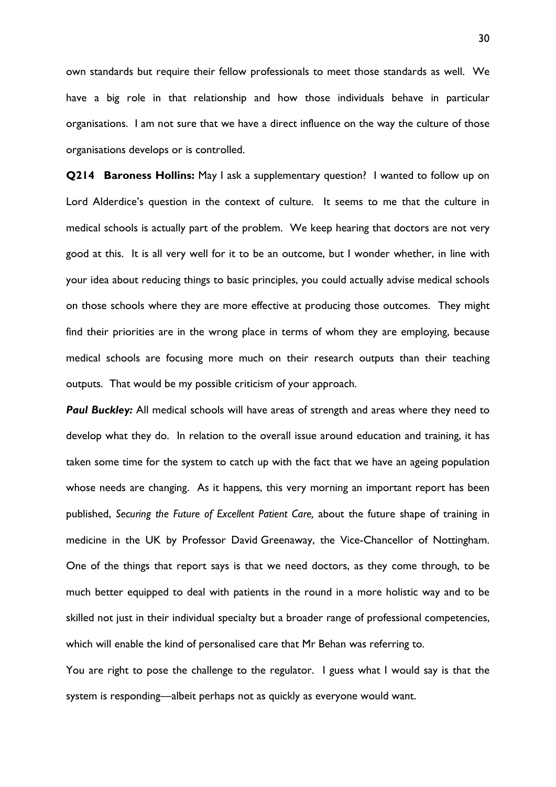own standards but require their fellow professionals to meet those standards as well. We have a big role in that relationship and how those individuals behave in particular organisations. I am not sure that we have a direct influence on the way the culture of those organisations develops or is controlled.

**Q214 Baroness Hollins:** May I ask a supplementary question? I wanted to follow up on Lord Alderdice's question in the context of culture. It seems to me that the culture in medical schools is actually part of the problem. We keep hearing that doctors are not very good at this. It is all very well for it to be an outcome, but I wonder whether, in line with your idea about reducing things to basic principles, you could actually advise medical schools on those schools where they are more effective at producing those outcomes. They might find their priorities are in the wrong place in terms of whom they are employing, because medical schools are focusing more much on their research outputs than their teaching outputs. That would be my possible criticism of your approach.

**Paul Buckley:** All medical schools will have areas of strength and areas where they need to develop what they do. In relation to the overall issue around education and training, it has taken some time for the system to catch up with the fact that we have an ageing population whose needs are changing. As it happens, this very morning an important report has been published, *Securing the Future of Excellent Patient Care,* about the future shape of training in medicine in the UK by Professor David Greenaway, the Vice-Chancellor of Nottingham. One of the things that report says is that we need doctors, as they come through, to be much better equipped to deal with patients in the round in a more holistic way and to be skilled not just in their individual specialty but a broader range of professional competencies, which will enable the kind of personalised care that Mr Behan was referring to.

You are right to pose the challenge to the regulator. I guess what I would say is that the system is responding—albeit perhaps not as quickly as everyone would want.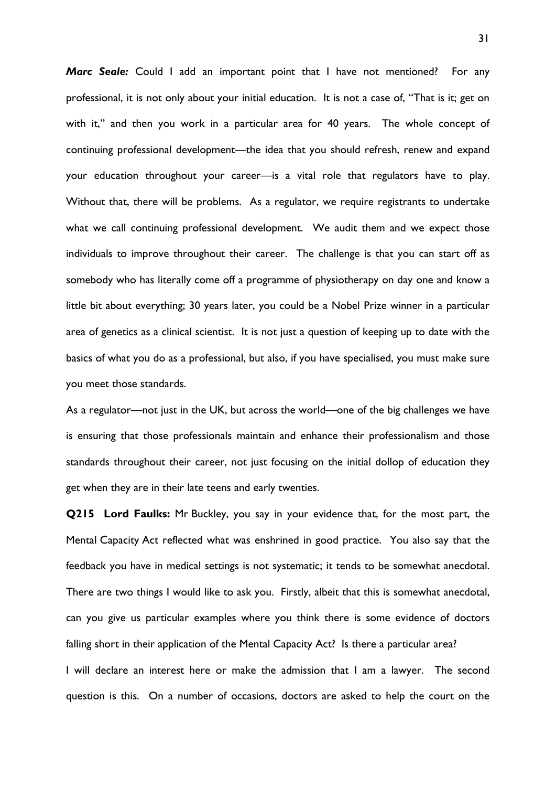*Marc Seale:* Could I add an important point that I have not mentioned? For any professional, it is not only about your initial education. It is not a case of, "That is it; get on with it," and then you work in a particular area for 40 years. The whole concept of continuing professional development—the idea that you should refresh, renew and expand your education throughout your career—is a vital role that regulators have to play. Without that, there will be problems. As a regulator, we require registrants to undertake what we call continuing professional development. We audit them and we expect those individuals to improve throughout their career. The challenge is that you can start off as somebody who has literally come off a programme of physiotherapy on day one and know a little bit about everything; 30 years later, you could be a Nobel Prize winner in a particular area of genetics as a clinical scientist. It is not just a question of keeping up to date with the basics of what you do as a professional, but also, if you have specialised, you must make sure you meet those standards.

As a regulator—not just in the UK, but across the world—one of the big challenges we have is ensuring that those professionals maintain and enhance their professionalism and those standards throughout their career, not just focusing on the initial dollop of education they get when they are in their late teens and early twenties.

**Q215 Lord Faulks:** Mr Buckley, you say in your evidence that, for the most part, the Mental Capacity Act reflected what was enshrined in good practice. You also say that the feedback you have in medical settings is not systematic; it tends to be somewhat anecdotal. There are two things I would like to ask you. Firstly, albeit that this is somewhat anecdotal, can you give us particular examples where you think there is some evidence of doctors falling short in their application of the Mental Capacity Act? Is there a particular area? I will declare an interest here or make the admission that I am a lawyer. The second question is this. On a number of occasions, doctors are asked to help the court on the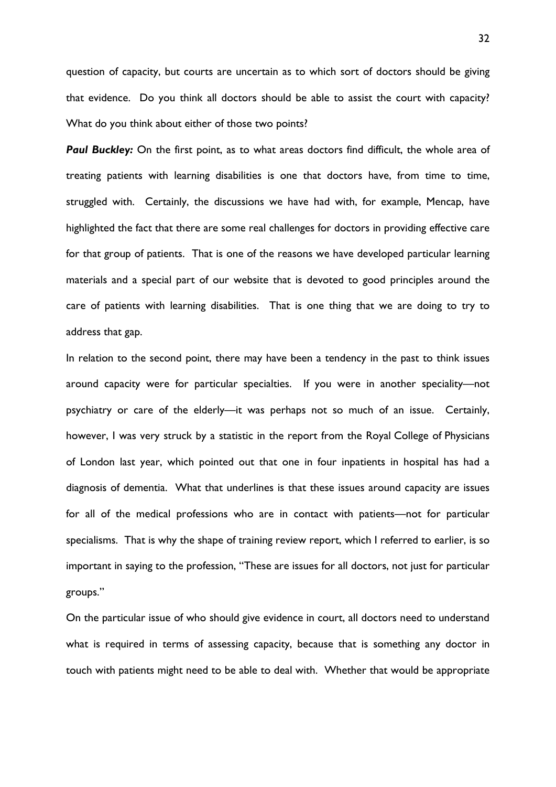question of capacity, but courts are uncertain as to which sort of doctors should be giving that evidence. Do you think all doctors should be able to assist the court with capacity? What do you think about either of those two points?

**Paul Buckley:** On the first point, as to what areas doctors find difficult, the whole area of treating patients with learning disabilities is one that doctors have, from time to time, struggled with. Certainly, the discussions we have had with, for example, Mencap, have highlighted the fact that there are some real challenges for doctors in providing effective care for that group of patients. That is one of the reasons we have developed particular learning materials and a special part of our website that is devoted to good principles around the care of patients with learning disabilities. That is one thing that we are doing to try to address that gap.

In relation to the second point, there may have been a tendency in the past to think issues around capacity were for particular specialties. If you were in another speciality—not psychiatry or care of the elderly—it was perhaps not so much of an issue. Certainly, however, I was very struck by a statistic in the report from the Royal College of Physicians of London last year, which pointed out that one in four inpatients in hospital has had a diagnosis of dementia. What that underlines is that these issues around capacity are issues for all of the medical professions who are in contact with patients—not for particular specialisms. That is why the shape of training review report, which I referred to earlier, is so important in saying to the profession, "These are issues for all doctors, not just for particular groups."

On the particular issue of who should give evidence in court, all doctors need to understand what is required in terms of assessing capacity, because that is something any doctor in touch with patients might need to be able to deal with. Whether that would be appropriate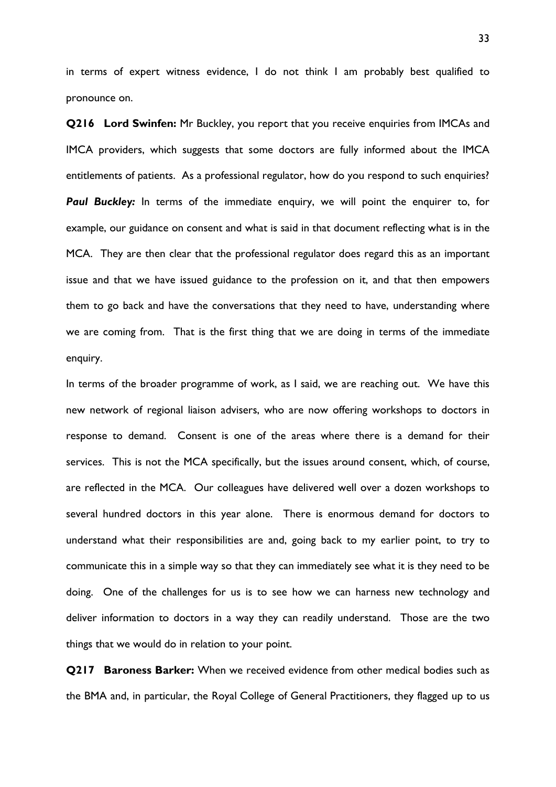in terms of expert witness evidence, I do not think I am probably best qualified to pronounce on.

**Q216 Lord Swinfen:** Mr Buckley, you report that you receive enquiries from IMCAs and IMCA providers, which suggests that some doctors are fully informed about the IMCA entitlements of patients. As a professional regulator, how do you respond to such enquiries? *Paul Buckley:* In terms of the immediate enquiry, we will point the enquirer to, for example, our guidance on consent and what is said in that document reflecting what is in the MCA. They are then clear that the professional regulator does regard this as an important issue and that we have issued guidance to the profession on it, and that then empowers them to go back and have the conversations that they need to have, understanding where we are coming from. That is the first thing that we are doing in terms of the immediate enquiry.

In terms of the broader programme of work, as I said, we are reaching out. We have this new network of regional liaison advisers, who are now offering workshops to doctors in response to demand. Consent is one of the areas where there is a demand for their services. This is not the MCA specifically, but the issues around consent, which, of course, are reflected in the MCA. Our colleagues have delivered well over a dozen workshops to several hundred doctors in this year alone. There is enormous demand for doctors to understand what their responsibilities are and, going back to my earlier point, to try to communicate this in a simple way so that they can immediately see what it is they need to be doing. One of the challenges for us is to see how we can harness new technology and deliver information to doctors in a way they can readily understand. Those are the two things that we would do in relation to your point.

**Q217 Baroness Barker:** When we received evidence from other medical bodies such as the BMA and, in particular, the Royal College of General Practitioners, they flagged up to us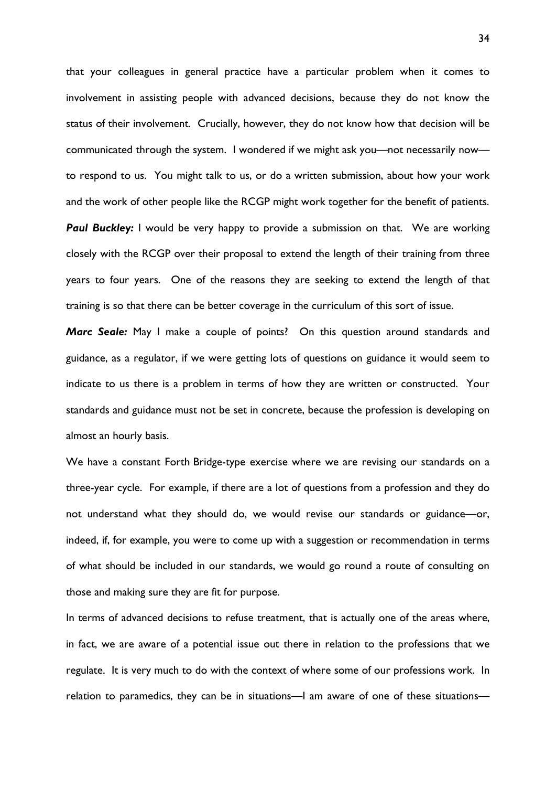that your colleagues in general practice have a particular problem when it comes to involvement in assisting people with advanced decisions, because they do not know the status of their involvement. Crucially, however, they do not know how that decision will be communicated through the system. I wondered if we might ask you—not necessarily now to respond to us. You might talk to us, or do a written submission, about how your work and the work of other people like the RCGP might work together for the benefit of patients. **Paul Buckley:** I would be very happy to provide a submission on that. We are working closely with the RCGP over their proposal to extend the length of their training from three years to four years. One of the reasons they are seeking to extend the length of that training is so that there can be better coverage in the curriculum of this sort of issue.

*Marc Seale:* May I make a couple of points? On this question around standards and guidance, as a regulator, if we were getting lots of questions on guidance it would seem to indicate to us there is a problem in terms of how they are written or constructed. Your standards and guidance must not be set in concrete, because the profession is developing on almost an hourly basis.

We have a constant Forth Bridge-type exercise where we are revising our standards on a three-year cycle. For example, if there are a lot of questions from a profession and they do not understand what they should do, we would revise our standards or guidance—or, indeed, if, for example, you were to come up with a suggestion or recommendation in terms of what should be included in our standards, we would go round a route of consulting on those and making sure they are fit for purpose.

In terms of advanced decisions to refuse treatment, that is actually one of the areas where, in fact, we are aware of a potential issue out there in relation to the professions that we regulate. It is very much to do with the context of where some of our professions work. In relation to paramedics, they can be in situations—I am aware of one of these situations—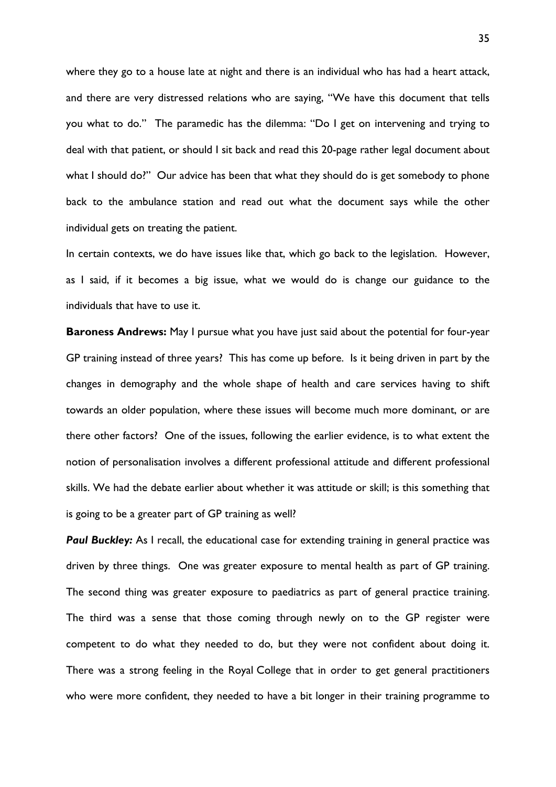where they go to a house late at night and there is an individual who has had a heart attack, and there are very distressed relations who are saying, "We have this document that tells you what to do." The paramedic has the dilemma: "Do I get on intervening and trying to deal with that patient, or should I sit back and read this 20-page rather legal document about what I should do?" Our advice has been that what they should do is get somebody to phone back to the ambulance station and read out what the document says while the other individual gets on treating the patient.

In certain contexts, we do have issues like that, which go back to the legislation. However, as I said, if it becomes a big issue, what we would do is change our guidance to the individuals that have to use it.

**Baroness Andrews:** May I pursue what you have just said about the potential for four-year GP training instead of three years? This has come up before. Is it being driven in part by the changes in demography and the whole shape of health and care services having to shift towards an older population, where these issues will become much more dominant, or are there other factors? One of the issues, following the earlier evidence, is to what extent the notion of personalisation involves a different professional attitude and different professional skills. We had the debate earlier about whether it was attitude or skill; is this something that is going to be a greater part of GP training as well?

**Paul Buckley:** As I recall, the educational case for extending training in general practice was driven by three things. One was greater exposure to mental health as part of GP training. The second thing was greater exposure to paediatrics as part of general practice training. The third was a sense that those coming through newly on to the GP register were competent to do what they needed to do, but they were not confident about doing it. There was a strong feeling in the Royal College that in order to get general practitioners who were more confident, they needed to have a bit longer in their training programme to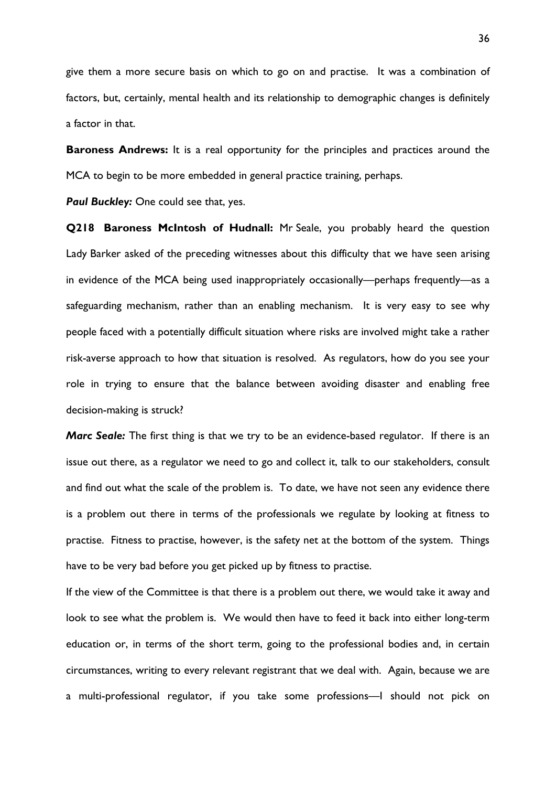give them a more secure basis on which to go on and practise. It was a combination of factors, but, certainly, mental health and its relationship to demographic changes is definitely a factor in that.

**Baroness Andrews:** It is a real opportunity for the principles and practices around the MCA to begin to be more embedded in general practice training, perhaps.

**Paul Buckley:** One could see that, yes.

**Q218 Baroness McIntosh of Hudnall:** Mr Seale, you probably heard the question Lady Barker asked of the preceding witnesses about this difficulty that we have seen arising in evidence of the MCA being used inappropriately occasionally—perhaps frequently—as a safeguarding mechanism, rather than an enabling mechanism. It is very easy to see why people faced with a potentially difficult situation where risks are involved might take a rather risk-averse approach to how that situation is resolved. As regulators, how do you see your role in trying to ensure that the balance between avoiding disaster and enabling free decision-making is struck?

*Marc Seale:* The first thing is that we try to be an evidence-based regulator. If there is an issue out there, as a regulator we need to go and collect it, talk to our stakeholders, consult and find out what the scale of the problem is. To date, we have not seen any evidence there is a problem out there in terms of the professionals we regulate by looking at fitness to practise. Fitness to practise, however, is the safety net at the bottom of the system. Things have to be very bad before you get picked up by fitness to practise.

If the view of the Committee is that there is a problem out there, we would take it away and look to see what the problem is. We would then have to feed it back into either long-term education or, in terms of the short term, going to the professional bodies and, in certain circumstances, writing to every relevant registrant that we deal with. Again, because we are a multi-professional regulator, if you take some professions—I should not pick on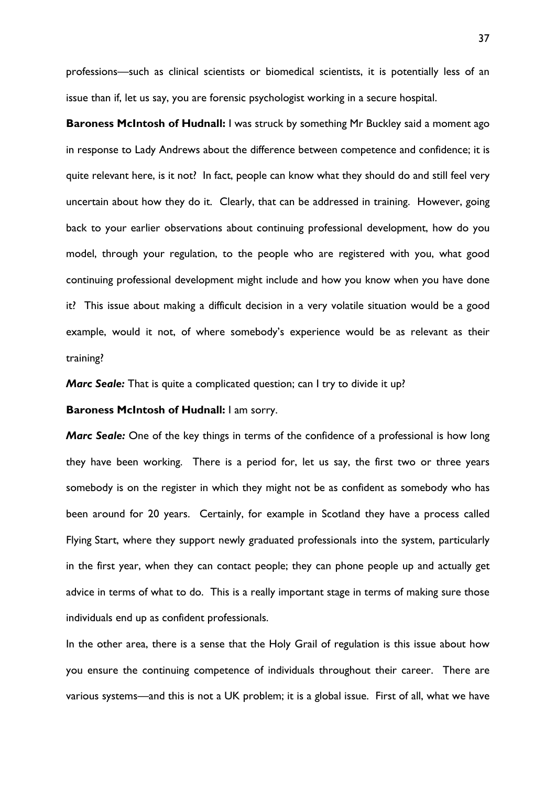professions—such as clinical scientists or biomedical scientists, it is potentially less of an issue than if, let us say, you are forensic psychologist working in a secure hospital.

**Baroness McIntosh of Hudnall:** I was struck by something Mr Buckley said a moment ago in response to Lady Andrews about the difference between competence and confidence; it is quite relevant here, is it not? In fact, people can know what they should do and still feel very uncertain about how they do it. Clearly, that can be addressed in training. However, going back to your earlier observations about continuing professional development, how do you model, through your regulation, to the people who are registered with you, what good continuing professional development might include and how you know when you have done it? This issue about making a difficult decision in a very volatile situation would be a good example, would it not, of where somebody's experience would be as relevant as their training?

*Marc Seale:* That is quite a complicated question; can I try to divide it up?

**Baroness McIntosh of Hudnall:** I am sorry.

*Marc Seale:* One of the key things in terms of the confidence of a professional is how long they have been working. There is a period for, let us say, the first two or three years somebody is on the register in which they might not be as confident as somebody who has been around for 20 years. Certainly, for example in Scotland they have a process called Flying Start, where they support newly graduated professionals into the system, particularly in the first year, when they can contact people; they can phone people up and actually get advice in terms of what to do. This is a really important stage in terms of making sure those individuals end up as confident professionals.

In the other area, there is a sense that the Holy Grail of regulation is this issue about how you ensure the continuing competence of individuals throughout their career. There are various systems—and this is not a UK problem; it is a global issue. First of all, what we have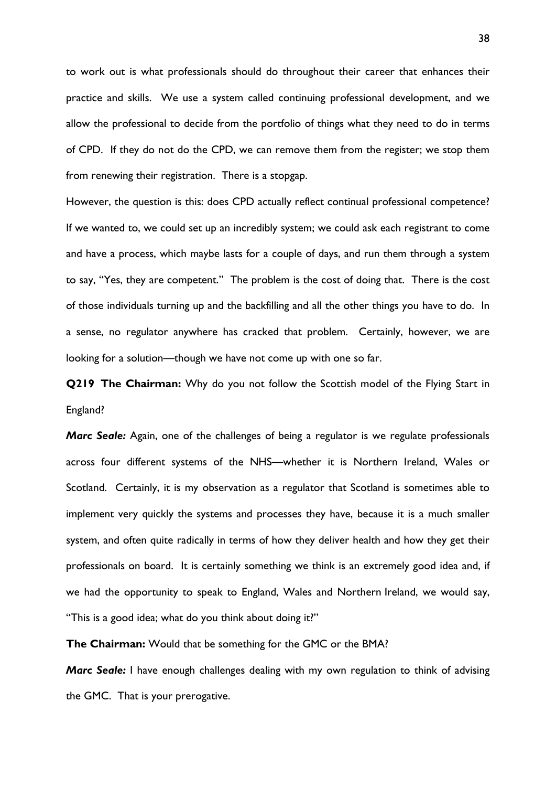to work out is what professionals should do throughout their career that enhances their practice and skills. We use a system called continuing professional development, and we allow the professional to decide from the portfolio of things what they need to do in terms of CPD. If they do not do the CPD, we can remove them from the register; we stop them from renewing their registration. There is a stopgap.

However, the question is this: does CPD actually reflect continual professional competence? If we wanted to, we could set up an incredibly system; we could ask each registrant to come and have a process, which maybe lasts for a couple of days, and run them through a system to say, "Yes, they are competent." The problem is the cost of doing that. There is the cost of those individuals turning up and the backfilling and all the other things you have to do. In a sense, no regulator anywhere has cracked that problem. Certainly, however, we are looking for a solution—though we have not come up with one so far.

**Q219 The Chairman:** Why do you not follow the Scottish model of the Flying Start in England?

*Marc Seale:* Again, one of the challenges of being a regulator is we regulate professionals across four different systems of the NHS—whether it is Northern Ireland, Wales or Scotland. Certainly, it is my observation as a regulator that Scotland is sometimes able to implement very quickly the systems and processes they have, because it is a much smaller system, and often quite radically in terms of how they deliver health and how they get their professionals on board. It is certainly something we think is an extremely good idea and, if we had the opportunity to speak to England, Wales and Northern Ireland, we would say, "This is a good idea; what do you think about doing it?"

**The Chairman:** Would that be something for the GMC or the BMA?

*Marc Seale:* I have enough challenges dealing with my own regulation to think of advising the GMC. That is your prerogative.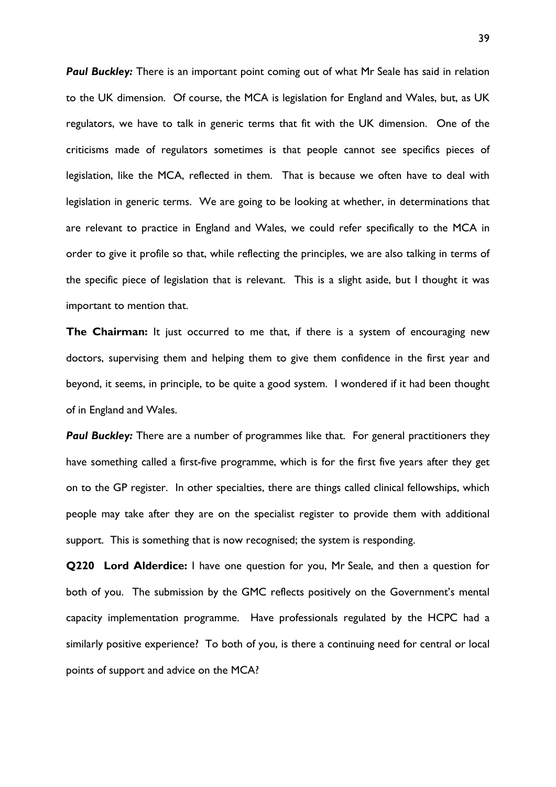**Paul Buckley:** There is an important point coming out of what Mr Seale has said in relation to the UK dimension. Of course, the MCA is legislation for England and Wales, but, as UK regulators, we have to talk in generic terms that fit with the UK dimension. One of the criticisms made of regulators sometimes is that people cannot see specifics pieces of legislation, like the MCA, reflected in them. That is because we often have to deal with legislation in generic terms. We are going to be looking at whether, in determinations that are relevant to practice in England and Wales, we could refer specifically to the MCA in order to give it profile so that, while reflecting the principles, we are also talking in terms of the specific piece of legislation that is relevant. This is a slight aside, but I thought it was important to mention that.

**The Chairman:** It just occurred to me that, if there is a system of encouraging new doctors, supervising them and helping them to give them confidence in the first year and beyond, it seems, in principle, to be quite a good system. I wondered if it had been thought of in England and Wales.

**Paul Buckley:** There are a number of programmes like that. For general practitioners they have something called a first-five programme, which is for the first five years after they get on to the GP register. In other specialties, there are things called clinical fellowships, which people may take after they are on the specialist register to provide them with additional support. This is something that is now recognised; the system is responding.

**Q220 Lord Alderdice:** I have one question for you, Mr Seale, and then a question for both of you. The submission by the GMC reflects positively on the Government's mental capacity implementation programme. Have professionals regulated by the HCPC had a similarly positive experience? To both of you, is there a continuing need for central or local points of support and advice on the MCA?